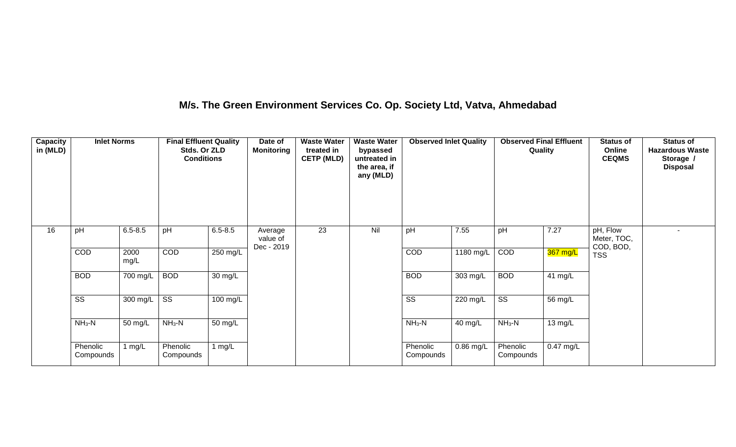## **M/s. The Green Environment Services Co. Op. Society Ltd, Vatva, Ahmedabad**

| Capacity<br>in (MLD) | <b>Inlet Norms</b>     |              | <b>Final Effluent Quality</b><br>Stds. Or ZLD<br><b>Conditions</b> |                    | Date of<br><b>Monitoring</b>      | <b>Waste Water</b><br>treated in<br><b>CETP (MLD)</b> | <b>Waste Water</b><br>bypassed<br>untreated in<br>the area, if<br>any (MLD) | <b>Observed Inlet Quality</b> |             | <b>Observed Final Effluent</b><br>Quality |             | <b>Status of</b><br>Online<br><b>CEQMS</b> | <b>Status of</b><br><b>Hazardous Waste</b><br>Storage /<br><b>Disposal</b> |
|----------------------|------------------------|--------------|--------------------------------------------------------------------|--------------------|-----------------------------------|-------------------------------------------------------|-----------------------------------------------------------------------------|-------------------------------|-------------|-------------------------------------------|-------------|--------------------------------------------|----------------------------------------------------------------------------|
| 16                   | pH                     | $6.5 - 8.5$  | pH                                                                 | $6.5 - 8.5$        | Average<br>value of<br>Dec - 2019 | 23                                                    | Nil                                                                         | pH                            | 7.55        | pH                                        | 7.27        | pH, Flow<br>Meter, TOC,<br>COD, BOD,       | ٠                                                                          |
|                      | COD                    | 2000<br>mg/L | COD                                                                | 250 mg/L           |                                   |                                                       |                                                                             | COD                           | 1180 mg/L   | COD                                       | 367 mg/L    | <b>TSS</b>                                 |                                                                            |
|                      | <b>BOD</b>             | 700 mg/L     | <b>BOD</b>                                                         | 30 mg/L            |                                   |                                                       |                                                                             | <b>BOD</b>                    | 303 mg/L    | <b>BOD</b>                                | 41 mg/L     |                                            |                                                                            |
|                      | $\overline{\text{ss}}$ | 300 mg/L     | $\overline{\text{ss}}$                                             | $100 \text{ mg/L}$ |                                   |                                                       |                                                                             | $\overline{\text{ss}}$        | 220 mg/L    | $\overline{\text{SS}}$                    | 56 mg/L     |                                            |                                                                            |
|                      | $NH3-N$                | 50 mg/L      | $NH3-N$                                                            | 50 mg/L            |                                   |                                                       |                                                                             | $NH_3-N$                      | 40 mg/L     | $NH3-N$                                   | 13 mg/L     |                                            |                                                                            |
|                      | Phenolic<br>Compounds  | 1 mg/L       | Phenolic<br>Compounds                                              | 1 $mg/L$           |                                   |                                                       |                                                                             | Phenolic<br>Compounds         | $0.86$ mg/L | Phenolic<br>Compounds                     | $0.47$ mg/L |                                            |                                                                            |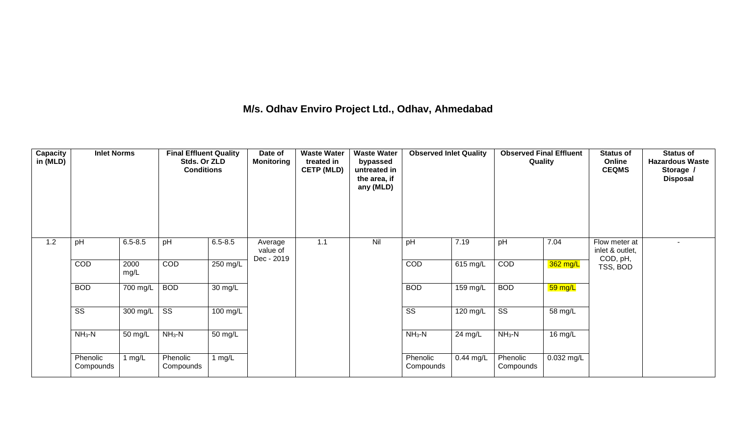## **M/s. Odhav Enviro Project Ltd., Odhav, Ahmedabad**

| Capacity<br>in (MLD) | <b>Inlet Norms</b>     |              | <b>Final Effluent Quality</b><br>Stds. Or ZLD<br><b>Conditions</b> |             | Date of<br><b>Monitoring</b>      | <b>Waste Water</b><br>treated in<br><b>CETP (MLD)</b> | <b>Waste Water</b><br>bypassed<br>untreated in<br>the area, if<br>any (MLD) | <b>Observed Inlet Quality</b> |             | <b>Observed Final Effluent</b><br>Quality |            | <b>Status of</b><br>Online<br><b>CEQMS</b>   | <b>Status of</b><br><b>Hazardous Waste</b><br>Storage /<br><b>Disposal</b> |
|----------------------|------------------------|--------------|--------------------------------------------------------------------|-------------|-----------------------------------|-------------------------------------------------------|-----------------------------------------------------------------------------|-------------------------------|-------------|-------------------------------------------|------------|----------------------------------------------|----------------------------------------------------------------------------|
| 1.2                  | pH                     | $6.5 - 8.5$  | pH                                                                 | $6.5 - 8.5$ | Average<br>value of<br>Dec - 2019 | 1.1                                                   | Nil                                                                         | pH                            | 7.19        | pH                                        | 7.04       | Flow meter at<br>inlet & outlet,<br>COD, pH, | $\blacksquare$                                                             |
|                      | COD                    | 2000<br>mg/L | <b>COD</b>                                                         | 250 mg/L    |                                   |                                                       |                                                                             | COD                           | 615 mg/L    | <b>COD</b>                                | $362$ mg/L | TSS, BOD                                     |                                                                            |
|                      | <b>BOD</b>             | 700 mg/L     | <b>BOD</b>                                                         | 30 mg/L     |                                   |                                                       |                                                                             | <b>BOD</b>                    | 159 mg/L    | <b>BOD</b>                                | 59 mg/L    |                                              |                                                                            |
|                      | $\overline{\text{ss}}$ | 300 mg/L     | $\overline{\text{ss}}$                                             | 100 mg/L    |                                   |                                                       |                                                                             | $\overline{\text{ss}}$        | 120 mg/L    | $\overline{\text{ss}}$                    | 58 mg/L    |                                              |                                                                            |
|                      | $NH3-N$                | 50 mg/L      | $NH3-N$                                                            | 50 mg/L     |                                   |                                                       |                                                                             | $NH_3-N$                      | 24 mg/L     | $NH3-N$                                   | 16 mg/L    |                                              |                                                                            |
|                      | Phenolic<br>Compounds  | l mg/L       | Phenolic<br>Compounds                                              | 1 $mg/L$    |                                   |                                                       |                                                                             | Phenolic<br>Compounds         | $0.44$ mg/L | Phenolic<br>Compounds                     | 0.032 mg/L |                                              |                                                                            |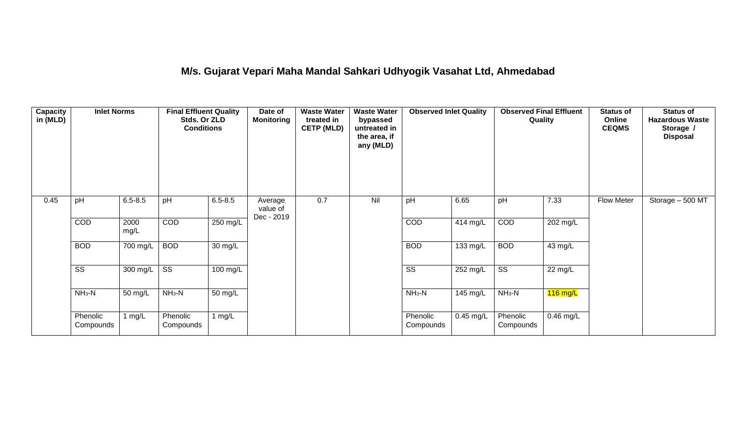## **M/s. Gujarat Vepari Maha Mandal Sahkari Udhyogik Vasahat Ltd, Ahmedabad**

| Capacity<br>in (MLD) | <b>Inlet Norms</b>     |              | <b>Final Effluent Quality</b><br>Stds. Or ZLD<br><b>Conditions</b> |                    | Date of<br><b>Monitoring</b>      | <b>Waste Water</b><br>treated in<br><b>CETP (MLD)</b> | <b>Waste Water</b><br>bypassed<br>untreated in<br>the area, if<br>any (MLD) | <b>Observed Inlet Quality</b> |             | <b>Observed Final Effluent</b><br>Quality |             | <b>Status of</b><br>Online<br><b>CEQMS</b> | <b>Status of</b><br><b>Hazardous Waste</b><br>Storage /<br><b>Disposal</b> |
|----------------------|------------------------|--------------|--------------------------------------------------------------------|--------------------|-----------------------------------|-------------------------------------------------------|-----------------------------------------------------------------------------|-------------------------------|-------------|-------------------------------------------|-------------|--------------------------------------------|----------------------------------------------------------------------------|
| 0.45                 | pH                     | $6.5 - 8.5$  | pH                                                                 | $6.5 - 8.5$        | Average<br>value of<br>Dec - 2019 | 0.7                                                   | Nil                                                                         | pH                            | 6.65        | pH                                        | 7.33        | <b>Flow Meter</b>                          | Storage - 500 MT                                                           |
|                      | COD                    | 2000<br>mg/L | COD                                                                | $250$ mg/L         |                                   |                                                       |                                                                             | COD                           | 414 mg/L    | COD                                       | 202 mg/L    |                                            |                                                                            |
|                      | <b>BOD</b>             | 700 mg/L     | <b>BOD</b>                                                         | 30 mg/L            |                                   |                                                       |                                                                             | <b>BOD</b>                    | 133 mg/L    | <b>BOD</b>                                | 43 mg/L     |                                            |                                                                            |
|                      | $\overline{\text{ss}}$ | 300 mg/L     | $\overline{\text{ss}}$                                             | $100 \text{ mg/L}$ |                                   |                                                       |                                                                             | $\overline{\text{ss}}$        | $252$ mg/L  | $\overline{\text{ss}}$                    | 22 mg/L     |                                            |                                                                            |
|                      | $NH3-N$                | 50 mg/L      | $NH3-N$                                                            | 50 mg/L            |                                   |                                                       |                                                                             | $NH3-N$                       | 145 mg/L    | $NH3-N$                                   | $116$ mg/L  |                                            |                                                                            |
|                      | Phenolic<br>Compounds  | 1 mg/L       | Phenolic<br>Compounds                                              | 1 mg/L             |                                   |                                                       |                                                                             | Phenolic<br>Compounds         | $0.45$ mg/L | Phenolic<br>Compounds                     | $0.46$ mg/L |                                            |                                                                            |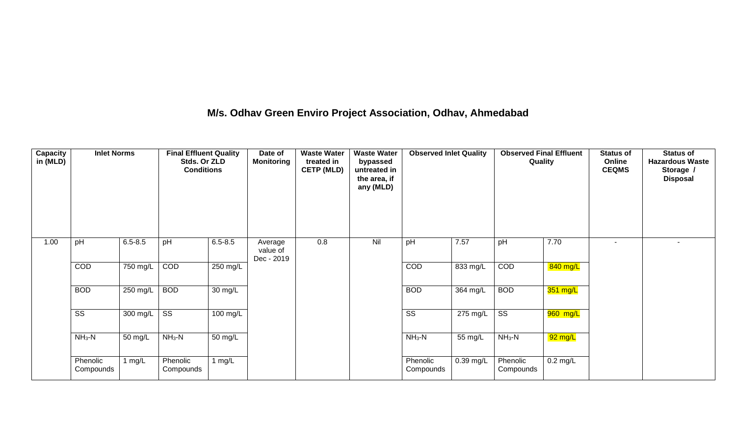## **M/s. Odhav Green Enviro Project Association, Odhav, Ahmedabad**

| Capacity<br>in (MLD) | <b>Inlet Norms</b>    |             | <b>Final Effluent Quality</b><br>Stds. Or ZLD<br><b>Conditions</b> |             | Date of<br><b>Monitoring</b>      | <b>Waste Water</b><br>treated in<br><b>CETP (MLD)</b> | <b>Waste Water</b><br>bypassed<br>untreated in<br>the area, if<br>any (MLD) | <b>Observed Inlet Quality</b> |           | <b>Observed Final Effluent</b><br>Quality |            | <b>Status of</b><br>Online<br><b>CEQMS</b> | <b>Status of</b><br><b>Hazardous Waste</b><br>Storage /<br><b>Disposal</b> |
|----------------------|-----------------------|-------------|--------------------------------------------------------------------|-------------|-----------------------------------|-------------------------------------------------------|-----------------------------------------------------------------------------|-------------------------------|-----------|-------------------------------------------|------------|--------------------------------------------|----------------------------------------------------------------------------|
| 1.00                 | pH                    | $6.5 - 8.5$ | pH                                                                 | $6.5 - 8.5$ | Average<br>value of<br>Dec - 2019 | 0.8                                                   | Nil                                                                         | pH                            | 7.57      | pH                                        | 7.70       |                                            |                                                                            |
|                      | COD                   | 750 mg/L    | COD                                                                | 250 mg/L    |                                   |                                                       |                                                                             | COD                           | 833 mg/L  | COD                                       | 840 mg/L   |                                            |                                                                            |
|                      | <b>BOD</b>            | 250 mg/L    | <b>BOD</b>                                                         | 30 mg/L     |                                   |                                                       |                                                                             | <b>BOD</b>                    | 364 mg/L  | <b>BOD</b>                                | 351 mg/L   |                                            |                                                                            |
|                      | SS                    | 300 mg/L    | $\overline{\text{ss}}$                                             | 100 mg/L    |                                   |                                                       |                                                                             | SS                            | 275 mg/L  | $\overline{\text{ss}}$                    | 960 mg/L   |                                            |                                                                            |
|                      | $NH_3-N$              | 50 mg/L     | $NH3-N$                                                            | 50 mg/L     |                                   |                                                       |                                                                             | $NH_3-N$                      | 55 mg/L   | $NH3-N$                                   | 92 mg/L    |                                            |                                                                            |
|                      | Phenolic<br>Compounds | 1 $mg/L$    | Phenolic<br>Compounds                                              | 1 $mg/L$    |                                   |                                                       |                                                                             | Phenolic<br>Compounds         | 0.39 mg/L | Phenolic<br>Compounds                     | $0.2$ mg/L |                                            |                                                                            |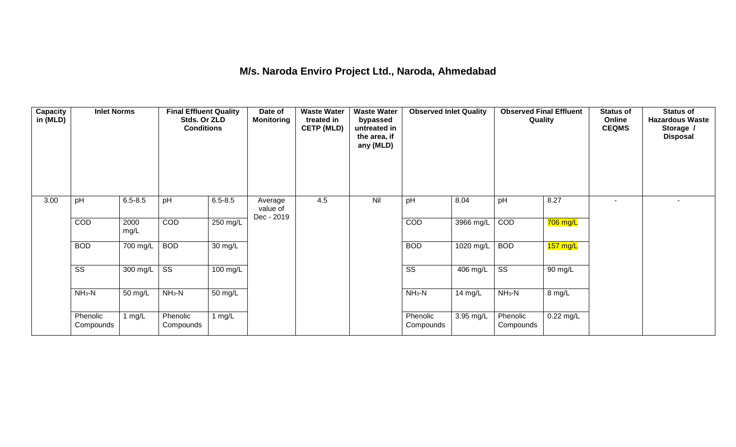## **M/s. Naroda Enviro Project Ltd., Naroda, Ahmedabad**

| <b>Capacity</b><br>in (MLD) | <b>Inlet Norms</b>     |                  | <b>Final Effluent Quality</b><br>Stds. Or ZLD<br><b>Conditions</b> |                      | Date of<br><b>Monitoring</b>      | <b>Waste Water</b><br>treated in<br><b>CETP (MLD)</b> | <b>Waste Water</b><br>bypassed<br>untreated in<br>the area, if<br>any (MLD) | <b>Observed Inlet Quality</b> |            | <b>Observed Final Effluent</b><br>Quality |                    | <b>Status of</b><br>Online<br><b>CEQMS</b> | <b>Status of</b><br><b>Hazardous Waste</b><br>Storage /<br><b>Disposal</b> |
|-----------------------------|------------------------|------------------|--------------------------------------------------------------------|----------------------|-----------------------------------|-------------------------------------------------------|-----------------------------------------------------------------------------|-------------------------------|------------|-------------------------------------------|--------------------|--------------------------------------------|----------------------------------------------------------------------------|
| 3.00                        | pH                     | $6.5 - 8.5$      | pH                                                                 | $6.5 - 8.5$          | Average<br>value of<br>Dec - 2019 | 4.5                                                   | Nil                                                                         | pH                            | 8.04       | pH                                        | 8.27               |                                            |                                                                            |
|                             | COD                    | 2000<br>mg/L     | COD                                                                | 250 mg/L             |                                   |                                                       |                                                                             | COD                           | 3966 mg/L  | COD                                       | $706$ mg/L         |                                            |                                                                            |
|                             | <b>BOD</b>             | 700 mg/L         | <b>BOD</b>                                                         | 30 mg/L              |                                   |                                                       |                                                                             | <b>BOD</b>                    | 1020 mg/L  | <b>BOD</b>                                | $157 \text{ mg/L}$ |                                            |                                                                            |
|                             | $\overline{\text{ss}}$ | 300 mg/L $\vert$ | $\overline{\text{ss}}$                                             | $100$ mg/L           |                                   |                                                       |                                                                             | $\overline{\text{ss}}$        | $406$ mg/L | $\overline{\text{ss}}$                    | 90 mg/L            |                                            |                                                                            |
|                             | $NH3-N$                | 50 mg/L          | $NH3-N$                                                            | $\overline{50}$ mg/L |                                   |                                                       |                                                                             | $NH_3-N$                      | 14 mg/L    | $NH3-N$                                   | 8 mg/L             |                                            |                                                                            |
|                             | Phenolic<br>Compounds  | 1 $mg/L$         | Phenolic<br>Compounds                                              | 1 $mg/L$             |                                   |                                                       |                                                                             | Phenolic<br>Compounds         | 3.95 mg/L  | Phenolic<br>Compounds                     | $0.22$ mg/L        |                                            |                                                                            |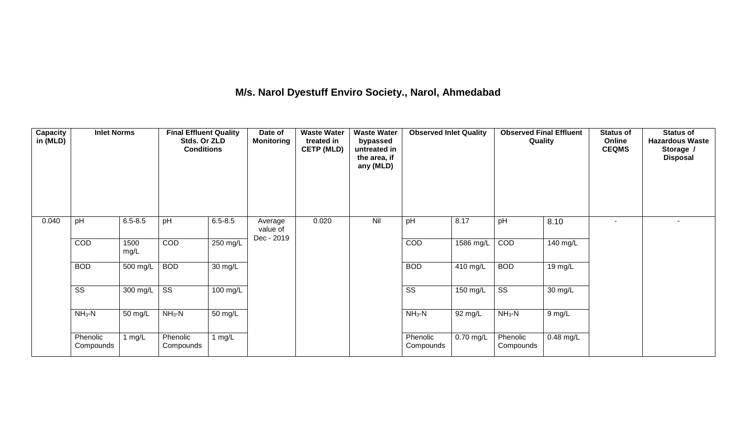## **M/s. Narol Dyestuff Enviro Society., Narol, Ahmedabad**

| <b>Capacity</b><br>in (MLD) | <b>Inlet Norms</b>     |                    | <b>Final Effluent Quality</b><br>Stds. Or ZLD<br><b>Conditions</b> |                      | Date of<br><b>Monitoring</b>      | <b>Waste Water</b><br>treated in<br><b>CETP (MLD)</b> | <b>Waste Water</b><br>bypassed<br>untreated in<br>the area, if<br>any (MLD) | <b>Observed Inlet Quality</b> |             | <b>Observed Final Effluent</b><br>Quality |                   | <b>Status of</b><br>Online<br><b>CEQMS</b> | <b>Status of</b><br><b>Hazardous Waste</b><br>Storage /<br><b>Disposal</b> |
|-----------------------------|------------------------|--------------------|--------------------------------------------------------------------|----------------------|-----------------------------------|-------------------------------------------------------|-----------------------------------------------------------------------------|-------------------------------|-------------|-------------------------------------------|-------------------|--------------------------------------------|----------------------------------------------------------------------------|
| 0.040                       | pH                     | $6.5 - 8.5$        | pH                                                                 | $6.5 - 8.5$          | Average<br>value of<br>Dec - 2019 | 0.020                                                 | Nil                                                                         | pH                            | 8.17        | pH                                        | 8.10              | ٠                                          |                                                                            |
|                             | COD                    | 1500<br>mg/L       | COD                                                                | 250 mg/L             |                                   |                                                       |                                                                             | COD                           | 1586 mg/L   | COD                                       | 140 mg/L          |                                            |                                                                            |
|                             | <b>BOD</b>             | 500 mg/L           | <b>BOD</b>                                                         | $30 \text{ mg/L}$    |                                   |                                                       |                                                                             | <b>BOD</b>                    | $410$ mg/L  | <b>BOD</b>                                | 19 mg/L           |                                            |                                                                            |
|                             | $\overline{\text{ss}}$ | $300 \text{ mg/L}$ | $\overline{\text{ss}}$                                             | $100$ mg/L           |                                   |                                                       |                                                                             | $\overline{\text{ss}}$        | 150 mg/L    | $\overline{\text{SS}}$                    | $30 \text{ mg/L}$ |                                            |                                                                            |
|                             | $NH3-N$                | 50 mg/L            | $NH3-N$                                                            | $\overline{50}$ mg/L |                                   |                                                       |                                                                             | $NH3-N$                       | 92 mg/L     | $NH_3-N$                                  | $9$ mg/L          |                                            |                                                                            |
|                             | Phenolic<br>Compounds  | 1 $mg/L$           | Phenolic<br>Compounds                                              | 1 $mg/L$             |                                   |                                                       |                                                                             | Phenolic<br>Compounds         | $0.70$ mg/L | Phenolic<br>Compounds                     | $0.48$ mg/L       |                                            |                                                                            |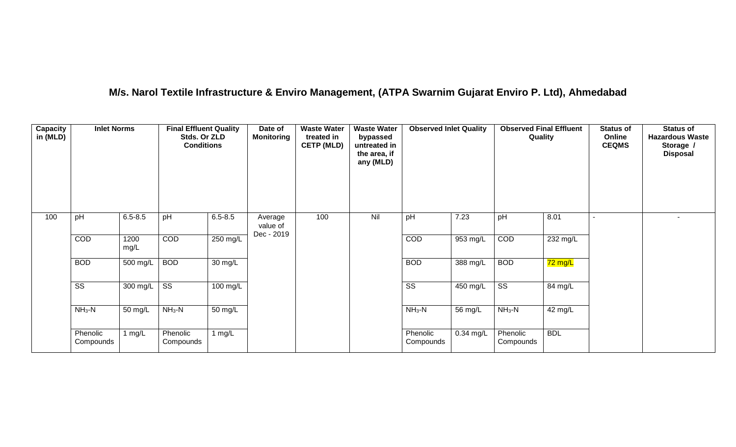## **M/s. Narol Textile Infrastructure & Enviro Management, (ATPA Swarnim Gujarat Enviro P. Ltd), Ahmedabad**

| Capacity<br>in (MLD) | <b>Inlet Norms</b>     |              | <b>Final Effluent Quality</b><br>Stds. Or ZLD<br><b>Conditions</b> |                    | Date of<br><b>Monitoring</b>      | <b>Waste Water</b><br>treated in<br><b>CETP (MLD)</b> | <b>Waste Water</b><br>bypassed<br>untreated in<br>the area, if<br>any (MLD) | <b>Observed Inlet Quality</b> |             | <b>Observed Final Effluent</b><br>Quality |                      | <b>Status of</b><br>Online<br><b>CEQMS</b> | <b>Status of</b><br><b>Hazardous Waste</b><br>Storage /<br><b>Disposal</b> |
|----------------------|------------------------|--------------|--------------------------------------------------------------------|--------------------|-----------------------------------|-------------------------------------------------------|-----------------------------------------------------------------------------|-------------------------------|-------------|-------------------------------------------|----------------------|--------------------------------------------|----------------------------------------------------------------------------|
| 100                  | pH                     | $6.5 - 8.5$  | pH                                                                 | $6.5 - 8.5$        | Average<br>value of<br>Dec - 2019 | 100                                                   | Nil                                                                         | pH                            | 7.23        | pH                                        | 8.01                 |                                            |                                                                            |
|                      | COD                    | 1200<br>mg/L | COD                                                                | 250 mg/L           |                                   |                                                       |                                                                             | COD                           | 953 mg/L    | COD                                       | 232 mg/L             |                                            |                                                                            |
|                      | <b>BOD</b>             | 500 mg/L     | <b>BOD</b>                                                         | 30 mg/L            |                                   |                                                       |                                                                             | <b>BOD</b>                    | 388 mg/L    | <b>BOD</b>                                | $\overline{72}$ mg/L |                                            |                                                                            |
|                      | $\overline{\text{ss}}$ | $300$ mg/L   | $\overline{\text{ss}}$                                             | $100 \text{ mg/L}$ |                                   |                                                       |                                                                             | $\overline{\text{ss}}$        | $450$ mg/L  | $\overline{\text{ss}}$                    | 84 mg/L              |                                            |                                                                            |
|                      | $NH3-N$                | 50 mg/L      | $NH3-N$                                                            | 50 mg/L            |                                   |                                                       |                                                                             | $NH3-N$                       | 56 mg/L     | $NH_3-N$                                  | 42 mg/L              |                                            |                                                                            |
|                      | Phenolic<br>Compounds  | 1 mg/L       | Phenolic<br>Compounds                                              | 1 $mg/L$           |                                   |                                                       |                                                                             | Phenolic<br>Compounds         | $0.34$ mg/L | Phenolic<br>Compounds                     | <b>BDL</b>           |                                            |                                                                            |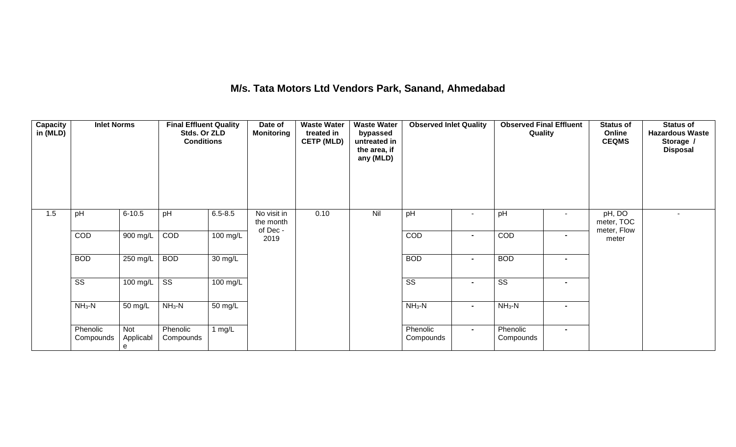## **M/s. Tata Motors Ltd Vendors Park, Sanand, Ahmedabad**

| Capacity<br>in (MLD) | <b>Inlet Norms</b>     |                       | <b>Final Effluent Quality</b><br>Stds. Or ZLD<br><b>Conditions</b> |             | Date of<br><b>Monitoring</b>        | <b>Waste Water</b><br>treated in<br><b>CETP (MLD)</b> | <b>Waste Water</b><br>bypassed<br>untreated in<br>the area, if<br>any (MLD) | <b>Observed Inlet Quality</b> |                | <b>Observed Final Effluent</b><br>Quality |                | <b>Status of</b><br>Online<br><b>CEQMS</b> | <b>Status of</b><br><b>Hazardous Waste</b><br>Storage /<br><b>Disposal</b> |
|----------------------|------------------------|-----------------------|--------------------------------------------------------------------|-------------|-------------------------------------|-------------------------------------------------------|-----------------------------------------------------------------------------|-------------------------------|----------------|-------------------------------------------|----------------|--------------------------------------------|----------------------------------------------------------------------------|
| 1.5                  | pH                     | $6 - 10.5$            | pH                                                                 | $6.5 - 8.5$ | No visit in<br>the month<br>of Dec- | 0.10                                                  | Nil                                                                         | pH                            | $\sim$         | pH                                        | $\sim$         | pH, DO<br>meter, TOC<br>meter, Flow        |                                                                            |
|                      | COD                    | 900 mg/L              | COD                                                                | 100 mg/L    | 2019                                |                                                       |                                                                             | COD                           | $\blacksquare$ | COD                                       | $\blacksquare$ | meter                                      |                                                                            |
|                      | <b>BOD</b>             | 250 mg/L              | <b>BOD</b>                                                         | 30 mg/L     |                                     |                                                       |                                                                             | <b>BOD</b>                    | $\blacksquare$ | <b>BOD</b>                                | $\blacksquare$ |                                            |                                                                            |
|                      | $\overline{\text{ss}}$ | 100 mg/L              | $\overline{\text{ss}}$                                             | 100 mg/L    |                                     |                                                       |                                                                             | $\overline{\text{ss}}$        | $\blacksquare$ | $\overline{\text{ss}}$                    | $\blacksquare$ |                                            |                                                                            |
|                      | $NH3-N$                | 50 mg/L               | $NH3-N$                                                            | 50 mg/L     |                                     |                                                       |                                                                             | $NH3-N$                       | $\blacksquare$ | $NH3-N$                                   | $\blacksquare$ |                                            |                                                                            |
|                      | Phenolic<br>Compounds  | Not<br>Applicabl<br>e | Phenolic<br>Compounds                                              | 1 $mg/L$    |                                     |                                                       |                                                                             | Phenolic<br>Compounds         | $\blacksquare$ | Phenolic<br>Compounds                     | $\blacksquare$ |                                            |                                                                            |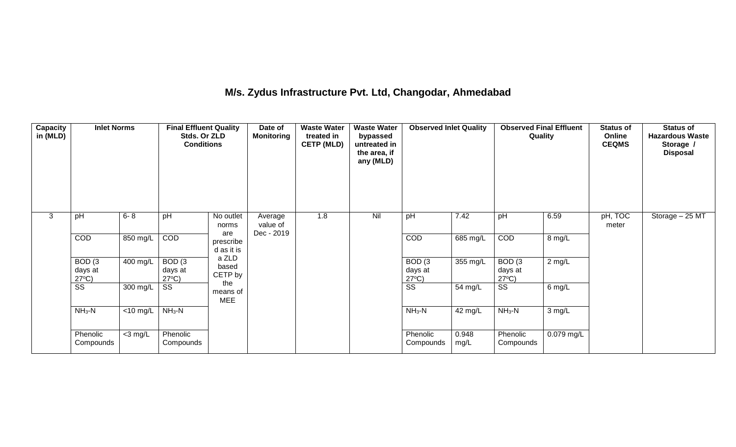## **M/s. Zydus Infrastructure Pvt. Ltd, Changodar, Ahmedabad**

| Capacity<br>in (MLD) | <b>Inlet Norms</b>                              |                               | <b>Final Effluent Quality</b><br>Stds. Or ZLD<br><b>Conditions</b> |                                | Date of<br><b>Monitoring</b>      | <b>Waste Water</b><br>treated in<br><b>CETP (MLD)</b> | <b>Waste Water</b><br>bypassed<br>untreated in<br>the area, if<br>any (MLD) | <b>Observed Inlet Quality</b>                   |               | <b>Observed Final Effluent</b><br>Quality |            | <b>Status of</b><br>Online<br><b>CEQMS</b> | <b>Status of</b><br><b>Hazardous Waste</b><br>Storage /<br><b>Disposal</b> |
|----------------------|-------------------------------------------------|-------------------------------|--------------------------------------------------------------------|--------------------------------|-----------------------------------|-------------------------------------------------------|-----------------------------------------------------------------------------|-------------------------------------------------|---------------|-------------------------------------------|------------|--------------------------------------------|----------------------------------------------------------------------------|
| 3                    | pH                                              | $6 - 8$                       | pH                                                                 | No outlet<br>norms             | Average<br>value of<br>Dec - 2019 | 1.8                                                   | Nil                                                                         | pH                                              | 7.42          | pH                                        | 6.59       | pH, TOC<br>meter                           | Storage - 25 MT                                                            |
|                      | COD                                             | 850 mg/L                      | COD                                                                | are<br>prescribe<br>d as it is |                                   |                                                       |                                                                             | <b>COD</b>                                      | 685 mg/L      | COD                                       | 8 mg/L     |                                            |                                                                            |
|                      | BOD <sub>(3</sub><br>days at<br>$27^{\circ}C$ ) | 400 mg/L                      | BOD <sub>(3</sub><br>days at<br>$27^{\circ}C$ )                    | a ZLD<br>based<br>CETP by      |                                   |                                                       |                                                                             | BOD <sub>(3</sub><br>days at<br>$27^{\circ}C$ ) | 355 mg/L      | BOD(3)<br>days at<br>$27^{\circ}C$ )      | 2 mg/L     |                                            |                                                                            |
|                      | SS                                              | 300 mg/L                      | SS                                                                 | the<br>means of<br><b>MEE</b>  |                                   |                                                       |                                                                             | $\overline{\text{SS}}$                          | 54 mg/L       | SS                                        | 6 mg/L     |                                            |                                                                            |
|                      | $NH3-N$                                         | $\overline{<}10 \text{ mg/L}$ | $NH3-N$                                                            |                                |                                   |                                                       |                                                                             | $NH3-N$                                         | 42 mg/L       | $NH3-N$                                   | 3 mg/L     |                                            |                                                                            |
|                      | Phenolic<br>Compounds                           | $<$ 3 mg/L                    | Phenolic<br>Compounds                                              |                                |                                   |                                                       |                                                                             | Phenolic<br>Compounds                           | 0.948<br>mg/L | Phenolic<br>Compounds                     | 0.079 mg/L |                                            |                                                                            |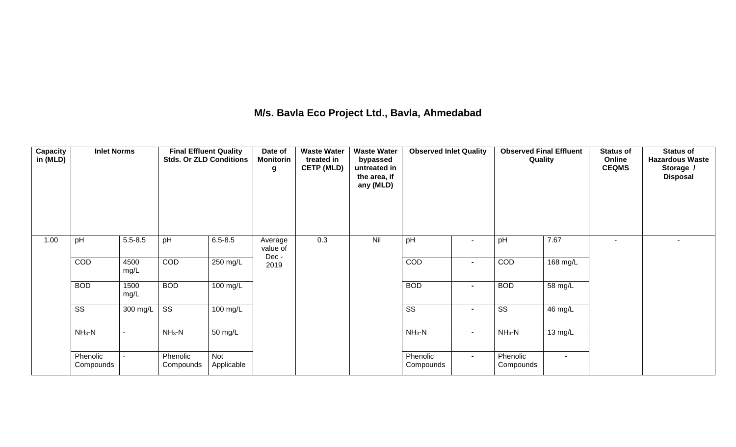## **M/s. Bavla Eco Project Ltd., Bavla, Ahmedabad**

| Capacity<br>in (MLD) | <b>Inlet Norms</b>     |              | <b>Final Effluent Quality</b><br><b>Stds. Or ZLD Conditions</b> |                   | Date of<br><b>Monitorin</b><br>g | <b>Waste Water</b><br>treated in<br><b>CETP (MLD)</b> | <b>Waste Water</b><br>bypassed<br>untreated in<br>the area, if<br>any (MLD) | <b>Observed Inlet Quality</b> |                | <b>Observed Final Effluent</b><br>Quality |                | <b>Status of</b><br>Online<br><b>CEQMS</b> | <b>Status of</b><br><b>Hazardous Waste</b><br>Storage /<br><b>Disposal</b> |
|----------------------|------------------------|--------------|-----------------------------------------------------------------|-------------------|----------------------------------|-------------------------------------------------------|-----------------------------------------------------------------------------|-------------------------------|----------------|-------------------------------------------|----------------|--------------------------------------------|----------------------------------------------------------------------------|
| 1.00                 | pH                     | $5.5 - 8.5$  | pH                                                              | $6.5 - 8.5$       | Average<br>value of<br>Dec-      | 0.3                                                   | Nil                                                                         | pH                            | $\sim$         | pH                                        | 7.67           | $\blacksquare$                             |                                                                            |
|                      | COD                    | 4500<br>mg/L | COD                                                             | $250$ mg/L        | 2019                             |                                                       |                                                                             | COD                           | $\blacksquare$ | COD                                       | 168 mg/L       |                                            |                                                                            |
|                      | <b>BOD</b>             | 1500<br>mg/L | <b>BOD</b>                                                      | 100 mg/L          |                                  |                                                       |                                                                             | <b>BOD</b>                    | $\blacksquare$ | <b>BOD</b>                                | 58 mg/L        |                                            |                                                                            |
|                      | $\overline{\text{ss}}$ | 300 mg/L     | $\overline{\mathsf{ss}}$                                        | 100 mg/L          |                                  |                                                       |                                                                             | $\overline{\text{ss}}$        | $\blacksquare$ | $\overline{\text{ss}}$                    | 46 mg/L        |                                            |                                                                            |
|                      | $NH3-N$                |              | $NH3-N$                                                         | 50 mg/L           |                                  |                                                       |                                                                             | $NH3-N$                       | $\blacksquare$ | $NH3-N$                                   | 13 mg/L        |                                            |                                                                            |
|                      | Phenolic<br>Compounds  |              | Phenolic<br>Compounds                                           | Not<br>Applicable |                                  |                                                       |                                                                             | Phenolic<br>Compounds         | $\sim$         | Phenolic<br>Compounds                     | $\blacksquare$ |                                            |                                                                            |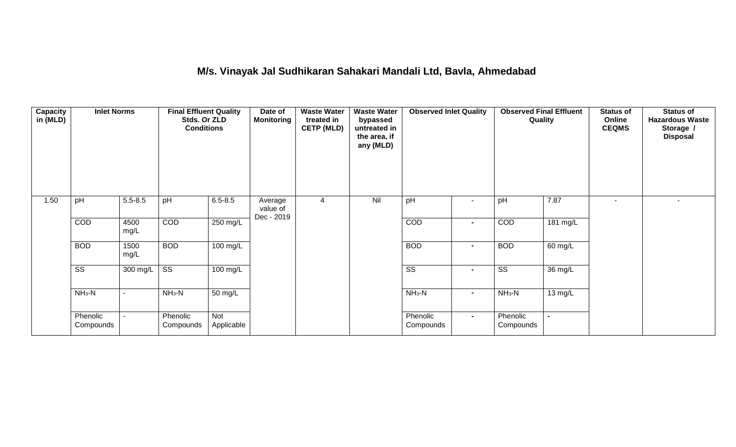## **M/s. Vinayak Jal Sudhikaran Sahakari Mandali Ltd, Bavla, Ahmedabad**

| Capacity<br>in (MLD) | <b>Inlet Norms</b>     |                | <b>Final Effluent Quality</b><br>Stds. Or ZLD<br><b>Conditions</b> |                      | Date of<br><b>Monitoring</b>      | <b>Waste Water</b><br>treated in<br><b>CETP (MLD)</b> | <b>Waste Water</b><br>bypassed<br>untreated in<br>the area, if<br>any (MLD) | <b>Observed Inlet Quality</b> |                          | <b>Observed Final Effluent</b><br>Quality |          | <b>Status of</b><br>Online<br><b>CEQMS</b> | <b>Status of</b><br><b>Hazardous Waste</b><br>Storage /<br><b>Disposal</b> |
|----------------------|------------------------|----------------|--------------------------------------------------------------------|----------------------|-----------------------------------|-------------------------------------------------------|-----------------------------------------------------------------------------|-------------------------------|--------------------------|-------------------------------------------|----------|--------------------------------------------|----------------------------------------------------------------------------|
| 1.50                 | pH                     | $5.5 - 8.5$    | pH                                                                 | $6.5 - 8.5$          | Average<br>value of<br>Dec - 2019 | 4                                                     | Nil                                                                         | pH                            | $\overline{\phantom{a}}$ | pH                                        | 7.87     | $\sim$                                     | ٠                                                                          |
|                      | COD                    | 4500<br>mg/L   | COD                                                                | 250 mg/L             |                                   |                                                       |                                                                             | COD                           | $\blacksquare$           | COD                                       | 181 mg/L |                                            |                                                                            |
|                      | <b>BOD</b>             | 1500<br>mg/L   | <b>BOD</b>                                                         | $100 \text{ mg/L}$   |                                   |                                                       |                                                                             | <b>BOD</b>                    | $\blacksquare$           | <b>BOD</b>                                | 60 mg/L  |                                            |                                                                            |
|                      | $\overline{\text{ss}}$ | 300 mg/L       | $\overline{\text{ss}}$                                             | $100 \text{ mg/L}$   |                                   |                                                       |                                                                             | $\overline{\text{ss}}$        | $\blacksquare$           | $\overline{\text{ss}}$                    | 36 mg/L  |                                            |                                                                            |
|                      | $NH3-N$                |                | $NH3-N$                                                            | $\overline{50}$ mg/L |                                   |                                                       |                                                                             | $NH3-N$                       | $\blacksquare$           | $NH3-N$                                   | 13 mg/L  |                                            |                                                                            |
|                      | Phenolic<br>Compounds  | $\blacksquare$ | Phenolic<br>Compounds                                              | Not<br>Applicable    |                                   |                                                       |                                                                             | Phenolic<br>Compounds         | $\sim$                   | Phenolic<br>Compounds                     |          |                                            |                                                                            |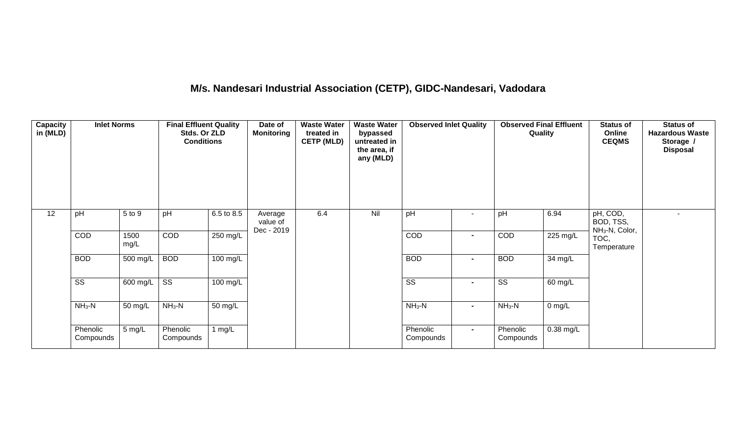# **M/s. Nandesari Industrial Association (CETP), GIDC-Nandesari, Vadodara**

| <b>Capacity</b><br>in (MLD) | <b>Inlet Norms</b>     |              | <b>Final Effluent Quality</b><br>Stds. Or ZLD<br><b>Conditions</b> |                       | Date of<br><b>Monitoring</b>      | <b>Waste Water</b><br>treated in<br><b>CETP (MLD)</b> | <b>Waste Water</b><br>bypassed<br>untreated in<br>the area, if<br>any (MLD) | <b>Observed Inlet Quality</b> |                | <b>Observed Final Effluent</b><br>Quality |                    | <b>Status of</b><br>Online<br><b>CEQMS</b>          | <b>Status of</b><br><b>Hazardous Waste</b><br>Storage /<br><b>Disposal</b> |
|-----------------------------|------------------------|--------------|--------------------------------------------------------------------|-----------------------|-----------------------------------|-------------------------------------------------------|-----------------------------------------------------------------------------|-------------------------------|----------------|-------------------------------------------|--------------------|-----------------------------------------------------|----------------------------------------------------------------------------|
| 12                          | pH                     | 5 to 9       | pH                                                                 | 6.5 to 8.5            | Average<br>value of<br>Dec - 2019 | 6.4                                                   | Nil                                                                         | pH                            |                | pH                                        | 6.94               | pH, COD,<br>BOD, TSS,<br>NH <sub>3</sub> -N, Color, |                                                                            |
|                             | COD                    | 1500<br>mg/L | COD                                                                | 250 mg/L              |                                   |                                                       |                                                                             | COD                           | $\blacksquare$ | <b>COD</b>                                | 225 mg/L           | TOC,<br>Temperature                                 |                                                                            |
|                             | <b>BOD</b>             | 500 mg/L     | <b>BOD</b>                                                         | $100 \text{ mg/L}$    |                                   |                                                       |                                                                             | <b>BOD</b>                    | $\blacksquare$ | <b>BOD</b>                                | 34 mg/L            |                                                     |                                                                            |
|                             | $\overline{\text{ss}}$ | 600 mg/L     | $\overline{\text{ss}}$                                             | $\overline{100}$ mg/L |                                   |                                                       |                                                                             | $\overline{\text{ss}}$        | $\blacksquare$ | $\overline{\text{ss}}$                    | 60 mg/L            |                                                     |                                                                            |
|                             | $NH3-N$                | 50 mg/L      | $NH3-N$                                                            | 50 mg/L               |                                   |                                                       |                                                                             | $NH_3-N$                      | $\blacksquare$ | $NH3-N$                                   | $0 \, \text{mg/L}$ |                                                     |                                                                            |
|                             | Phenolic<br>Compounds  | 5 mg/L       | Phenolic<br>Compounds                                              | 1 $mg/L$              |                                   |                                                       |                                                                             | Phenolic<br>Compounds         | $\sim$         | Phenolic<br>Compounds                     | 0.38 mg/L          |                                                     |                                                                            |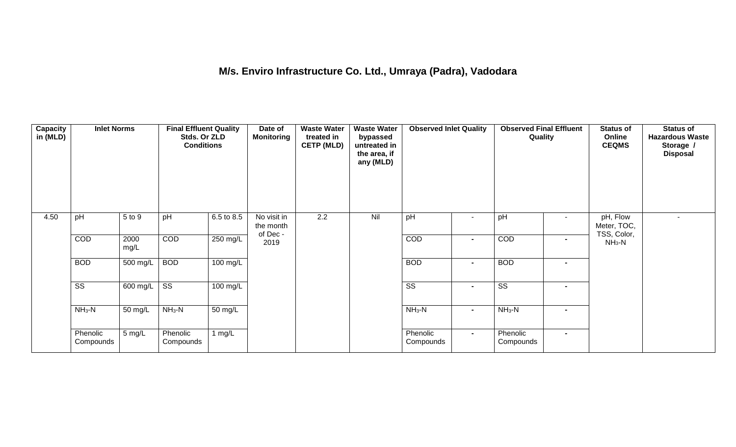## **M/s. Enviro Infrastructure Co. Ltd., Umraya (Padra), Vadodara**

| <b>Capacity</b><br>in (MLD) | <b>Inlet Norms</b>     |                       | <b>Final Effluent Quality</b><br>Stds. Or ZLD<br><b>Conditions</b> |                    | Date of<br><b>Monitoring</b>         | <b>Waste Water</b><br>treated in<br><b>CETP (MLD)</b> | <b>Waste Water</b><br>bypassed<br>untreated in<br>the area, if<br>any (MLD) | <b>Observed Inlet Quality</b> |                | <b>Observed Final Effluent</b><br>Quality |                | <b>Status of</b><br>Online<br><b>CEQMS</b> | <b>Status of</b><br><b>Hazardous Waste</b><br>Storage /<br><b>Disposal</b> |
|-----------------------------|------------------------|-----------------------|--------------------------------------------------------------------|--------------------|--------------------------------------|-------------------------------------------------------|-----------------------------------------------------------------------------|-------------------------------|----------------|-------------------------------------------|----------------|--------------------------------------------|----------------------------------------------------------------------------|
| 4.50                        | pH                     | 5 to 9                | pH                                                                 | 6.5 to 8.5         | No visit in<br>the month<br>of Dec - | 2.2                                                   | Nil                                                                         | pH                            | $\blacksquare$ | pH                                        | $\sim$         | pH, Flow<br>Meter, TOC,<br>TSS, Color,     |                                                                            |
|                             | COD                    | 2000<br>mg/L          | COD                                                                | 250 mg/L           | 2019                                 |                                                       |                                                                             | COD                           | $\blacksquare$ | COD                                       | $\blacksquare$ | $NH3-N$                                    |                                                                            |
|                             | <b>BOD</b>             | 500 mg/L              | <b>BOD</b>                                                         | $100 \text{ mg/L}$ |                                      |                                                       |                                                                             | <b>BOD</b>                    | $\blacksquare$ | <b>BOD</b>                                | $\blacksquare$ |                                            |                                                                            |
|                             | $\overline{\text{ss}}$ | $\overline{600}$ mg/L | $\overline{\text{ss}}$                                             | $100$ mg/L         |                                      |                                                       |                                                                             | $\overline{\text{ss}}$        | $\blacksquare$ | $\overline{\text{ss}}$                    | $\blacksquare$ |                                            |                                                                            |
|                             | $NH3-N$                | 50 mg/L               | $NH_3-N$                                                           | 50 mg/L            |                                      |                                                       |                                                                             | $NH_3-N$                      | $\blacksquare$ | $NH_3-N$                                  | $\blacksquare$ |                                            |                                                                            |
|                             | Phenolic<br>Compounds  | 5 mg/L                | Phenolic<br>Compounds                                              | 1 $mg/L$           |                                      |                                                       |                                                                             | Phenolic<br>Compounds         | $\blacksquare$ | Phenolic<br>Compounds                     | $\blacksquare$ |                                            |                                                                            |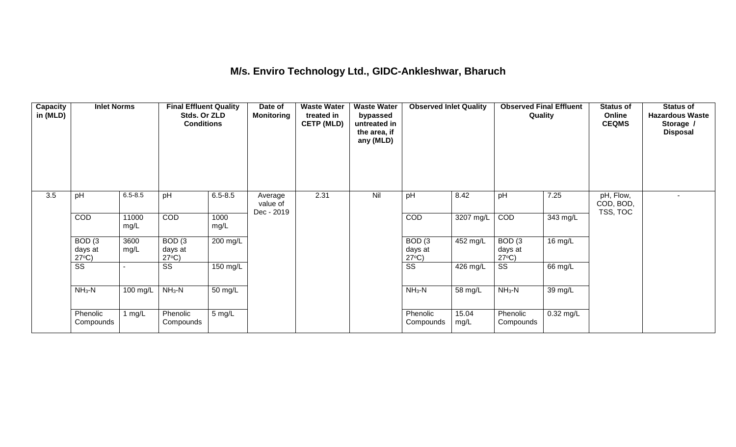### **M/s. Enviro Technology Ltd., GIDC-Ankleshwar, Bharuch**

| Capacity<br>in (MLD) | <b>Inlet Norms</b>                              |               | <b>Final Effluent Quality</b><br>Stds. Or ZLD<br><b>Conditions</b> |              | Date of<br><b>Monitoring</b> | <b>Waste Water</b><br>treated in<br><b>CETP (MLD)</b> | <b>Waste Water</b><br>bypassed<br>untreated in<br>the area, if<br>any (MLD) | <b>Observed Inlet Quality</b>        |               | <b>Observed Final Effluent</b><br>Quality |             | <b>Status of</b><br>Online<br><b>CEQMS</b> | <b>Status of</b><br><b>Hazardous Waste</b><br>Storage /<br><b>Disposal</b> |
|----------------------|-------------------------------------------------|---------------|--------------------------------------------------------------------|--------------|------------------------------|-------------------------------------------------------|-----------------------------------------------------------------------------|--------------------------------------|---------------|-------------------------------------------|-------------|--------------------------------------------|----------------------------------------------------------------------------|
| 3.5                  | pH                                              | $6.5 - 8.5$   | pH                                                                 | $6.5 - 8.5$  | Average<br>value of          | 2.31                                                  | Nil                                                                         | pH                                   | 8.42          | pH                                        | 7.25        | pH, Flow,<br>COD, BOD,                     |                                                                            |
|                      | COD                                             | 11000<br>mg/L | <b>COD</b>                                                         | 1000<br>mg/L | Dec - 2019                   |                                                       |                                                                             | <b>COD</b>                           | 3207 mg/L     | <b>COD</b>                                | 343 mg/L    | TSS, TOC                                   |                                                                            |
|                      | BOD <sub>(3</sub><br>days at<br>$27^{\circ}C$ ) | 3600<br>mg/L  | BOD <sub>(3</sub><br>days at<br>$27^{\circ}C$ )                    | 200 mg/L     |                              |                                                       |                                                                             | BOD(3)<br>days at<br>$27^{\circ}C$ ) | 452 mg/L      | BOD(3)<br>days at<br>$27^{\circ}C$ )      | $16$ mg/L   |                                            |                                                                            |
|                      | $\overline{\text{ss}}$                          |               | $\overline{\text{SS}}$                                             | 150 mg/L     |                              |                                                       |                                                                             | $\overline{\text{ss}}$               | 426 mg/L      | $\overline{\text{ss}}$                    | 66 mg/L     |                                            |                                                                            |
|                      | $NH3-N$                                         | 100 mg/L      | $NH_3-N$                                                           | 50 mg/L      |                              |                                                       |                                                                             | $NH3-N$                              | 58 mg/L       | $NH_3-N$                                  | 39 mg/L     |                                            |                                                                            |
|                      | Phenolic<br>Compounds                           | 1 $mg/L$      | Phenolic<br>Compounds                                              | 5 mg/L       |                              |                                                       |                                                                             | Phenolic<br>Compounds                | 15.04<br>mg/L | Phenolic<br>Compounds                     | $0.32$ mg/L |                                            |                                                                            |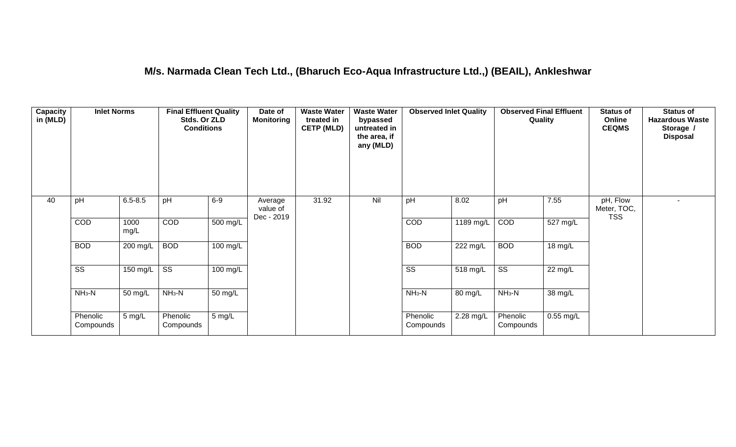### **M/s. Narmada Clean Tech Ltd., (Bharuch Eco-Aqua Infrastructure Ltd.,) (BEAIL), Ankleshwar**

| Capacity<br>in (MLD) | <b>Inlet Norms</b>     |              | <b>Final Effluent Quality</b><br>Stds. Or ZLD<br><b>Conditions</b> |                    | Date of<br><b>Monitoring</b>      | <b>Waste Water</b><br>treated in<br><b>CETP (MLD)</b> | <b>Waste Water</b><br>bypassed<br>untreated in<br>the area, if<br>any (MLD) | <b>Observed Inlet Quality</b> |           | <b>Observed Final Effluent</b><br>Quality |                       | <b>Status of</b><br>Online<br><b>CEQMS</b> | <b>Status of</b><br><b>Hazardous Waste</b><br>Storage /<br><b>Disposal</b> |
|----------------------|------------------------|--------------|--------------------------------------------------------------------|--------------------|-----------------------------------|-------------------------------------------------------|-----------------------------------------------------------------------------|-------------------------------|-----------|-------------------------------------------|-----------------------|--------------------------------------------|----------------------------------------------------------------------------|
| 40                   | pH                     | $6.5 - 8.5$  | pH                                                                 | $6-9$              | Average<br>value of<br>Dec - 2019 | 31.92                                                 | Nil                                                                         | pH                            | 8.02      | pH                                        | 7.55                  | pH, Flow<br>Meter, TOC,<br><b>TSS</b>      |                                                                            |
|                      | COD                    | 1000<br>mg/L | COD                                                                | $500 \text{ mg/L}$ |                                   |                                                       |                                                                             | COD                           | 1189 mg/L | COD                                       | $\overline{527}$ mg/L |                                            |                                                                            |
|                      | <b>BOD</b>             | 200 mg/L     | <b>BOD</b>                                                         | 100 mg/L           |                                   |                                                       |                                                                             | <b>BOD</b>                    | 222 mg/L  | <b>BOD</b>                                | $18 \text{ mg/L}$     |                                            |                                                                            |
|                      | $\overline{\text{ss}}$ | 150 mg/L     | $\overline{\text{ss}}$                                             | $100 \text{ mg/L}$ |                                   |                                                       |                                                                             | $\overline{\text{SS}}$        | 518 mg/L  | $\overline{\text{ss}}$                    | 22 mg/L               |                                            |                                                                            |
|                      | $NH3-N$                | 50 mg/L      | $NH3-N$                                                            | 50 mg/L            |                                   |                                                       |                                                                             | $NH3-N$                       | 80 mg/L   | $NH3-N$                                   | 38 mg/L               |                                            |                                                                            |
|                      | Phenolic<br>Compounds  | 5 mg/L       | Phenolic<br>Compounds                                              | $5 \text{ mg/L}$   |                                   |                                                       |                                                                             | Phenolic<br>Compounds         | 2.28 mg/L | Phenolic<br>Compounds                     | $0.55$ mg/L           |                                            |                                                                            |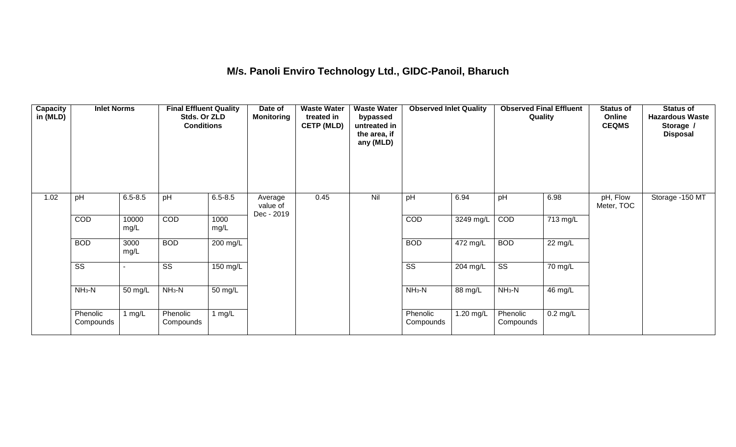## **M/s. Panoli Enviro Technology Ltd., GIDC-Panoil, Bharuch**

| Capacity<br>in (MLD) | <b>Inlet Norms</b>     |               | <b>Final Effluent Quality</b><br>Stds. Or ZLD<br><b>Conditions</b> |              | Date of<br><b>Monitoring</b>      | <b>Waste Water</b><br>treated in<br><b>CETP (MLD)</b> | <b>Waste Water</b><br>bypassed<br>untreated in<br>the area, if<br>any (MLD) | <b>Observed Inlet Quality</b> |            | <b>Observed Final Effluent</b><br>Quality |            | <b>Status of</b><br>Online<br><b>CEQMS</b> | <b>Status of</b><br><b>Hazardous Waste</b><br>Storage /<br><b>Disposal</b> |
|----------------------|------------------------|---------------|--------------------------------------------------------------------|--------------|-----------------------------------|-------------------------------------------------------|-----------------------------------------------------------------------------|-------------------------------|------------|-------------------------------------------|------------|--------------------------------------------|----------------------------------------------------------------------------|
| 1.02                 | pH                     | $6.5 - 8.5$   | pH                                                                 | $6.5 - 8.5$  | Average<br>value of<br>Dec - 2019 | 0.45                                                  | Nil                                                                         | pH                            | 6.94       | pH                                        | 6.98       | pH, Flow<br>Meter, TOC                     | Storage -150 MT                                                            |
|                      | COD                    | 10000<br>mg/L | COD                                                                | 1000<br>mg/L |                                   |                                                       |                                                                             | <b>COD</b>                    | 3249 mg/L  | COD                                       | 713 mg/L   |                                            |                                                                            |
|                      | <b>BOD</b>             | 3000<br>mg/L  | <b>BOD</b>                                                         | 200 mg/L     |                                   |                                                       |                                                                             | <b>BOD</b>                    | $472$ mg/L | <b>BOD</b>                                | 22 mg/L    |                                            |                                                                            |
|                      | $\overline{\text{ss}}$ |               | $\overline{\text{ss}}$                                             | 150 mg/L     |                                   |                                                       |                                                                             | $\overline{\text{SS}}$        | 204 mg/L   | $\overline{\text{ss}}$                    | 70 mg/L    |                                            |                                                                            |
|                      | $NH3-N$                | 50 mg/L       | $NH3-N$                                                            | 50 mg/L      |                                   |                                                       |                                                                             | $NH3-N$                       | 88 mg/L    | $NH3-N$                                   | 46 mg/L    |                                            |                                                                            |
|                      | Phenolic<br>Compounds  | 1 $mg/L$      | Phenolic<br>Compounds                                              | 1 $mg/L$     |                                   |                                                       |                                                                             | Phenolic<br>Compounds         | 1.20 mg/L  | Phenolic<br>Compounds                     | $0.2$ mg/L |                                            |                                                                            |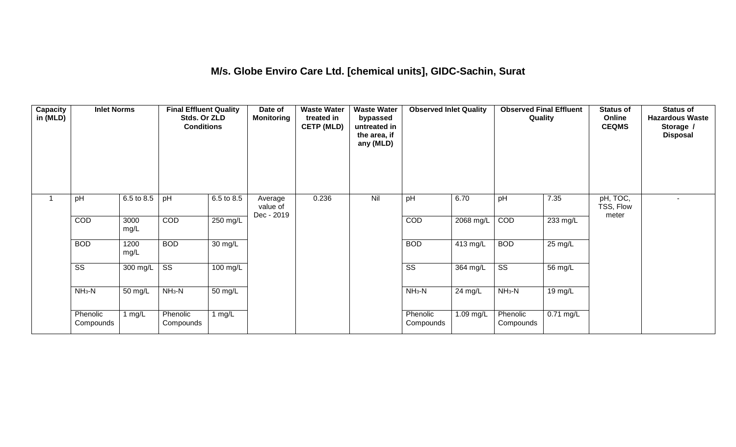### **M/s. Globe Enviro Care Ltd. [chemical units], GIDC-Sachin, Surat**

| <b>Capacity</b><br>in (MLD) | <b>Inlet Norms</b>     |              | <b>Final Effluent Quality</b><br>Stds. Or ZLD<br><b>Conditions</b> |                    | Date of<br><b>Monitoring</b>      | <b>Waste Water</b><br>treated in<br><b>CETP (MLD)</b> | <b>Waste Water</b><br>bypassed<br>untreated in<br>the area, if<br>any (MLD) | <b>Observed Inlet Quality</b> |           | <b>Observed Final Effluent</b><br>Quality |                   | <b>Status of</b><br>Online<br><b>CEQMS</b> | <b>Status of</b><br><b>Hazardous Waste</b><br>Storage /<br><b>Disposal</b> |
|-----------------------------|------------------------|--------------|--------------------------------------------------------------------|--------------------|-----------------------------------|-------------------------------------------------------|-----------------------------------------------------------------------------|-------------------------------|-----------|-------------------------------------------|-------------------|--------------------------------------------|----------------------------------------------------------------------------|
|                             | pH                     | 6.5 to 8.5   | pH                                                                 | 6.5 to 8.5         | Average<br>value of<br>Dec - 2019 | 0.236                                                 | Nil                                                                         | pH                            | 6.70      | pH                                        | 7.35              | pH, TOC,<br>TSS, Flow<br>meter             |                                                                            |
|                             | COD                    | 3000<br>mg/L | COD                                                                | 250 mg/L           |                                   |                                                       |                                                                             | COD                           | 2068 mg/L | COD                                       | 233 mg/L          |                                            |                                                                            |
|                             | <b>BOD</b>             | 1200<br>mg/L | <b>BOD</b>                                                         | 30 mg/L            |                                   |                                                       |                                                                             | <b>BOD</b>                    | 413 mg/L  | <b>BOD</b>                                | $25 \text{ mg/L}$ |                                            |                                                                            |
|                             | $\overline{\text{ss}}$ | $300$ mg/L   | $\overline{\text{ss}}$                                             | $100 \text{ mg/L}$ |                                   |                                                       |                                                                             | $\overline{\text{ss}}$        | 364 mg/L  | $\overline{\text{ss}}$                    | 56 mg/L           |                                            |                                                                            |
|                             | $NH3-N$                | 50 mg/L      | $NH3-N$                                                            | 50 mg/L            |                                   |                                                       |                                                                             | $NH3-N$                       | 24 mg/L   | $NH3-N$                                   | 19 mg/L           |                                            |                                                                            |
|                             | Phenolic<br>Compounds  | 1 mg/L       | Phenolic<br>Compounds                                              | 1 $mg/L$           |                                   |                                                       |                                                                             | Phenolic<br>Compounds         | 1.09 mg/L | Phenolic<br>Compounds                     | $0.71$ mg/L       |                                            |                                                                            |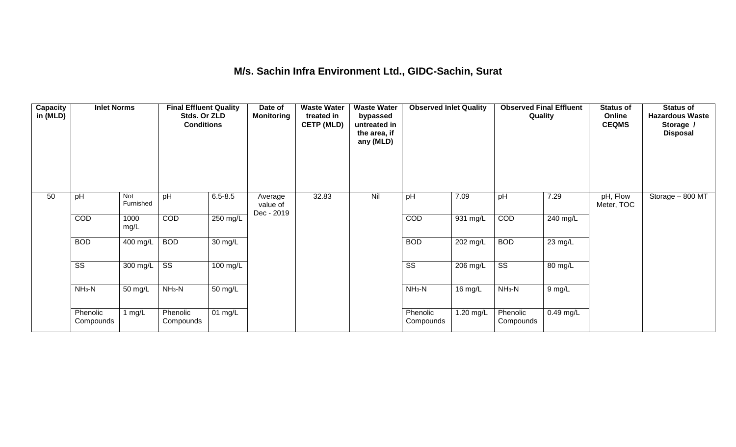### **M/s. Sachin Infra Environment Ltd., GIDC-Sachin, Surat**

| <b>Capacity</b><br>in (MLD) | <b>Inlet Norms</b>     |                       | <b>Final Effluent Quality</b><br>Stds. Or ZLD<br><b>Conditions</b> |                      | Date of<br><b>Monitoring</b>      | <b>Waste Water</b><br>treated in<br><b>CETP (MLD)</b> | <b>Waste Water</b><br>bypassed<br>untreated in<br>the area, if<br>any (MLD) | <b>Observed Inlet Quality</b> |           | <b>Observed Final Effluent</b><br>Quality |                   | <b>Status of</b><br>Online<br><b>CEQMS</b> | <b>Status of</b><br><b>Hazardous Waste</b><br>Storage /<br><b>Disposal</b> |
|-----------------------------|------------------------|-----------------------|--------------------------------------------------------------------|----------------------|-----------------------------------|-------------------------------------------------------|-----------------------------------------------------------------------------|-------------------------------|-----------|-------------------------------------------|-------------------|--------------------------------------------|----------------------------------------------------------------------------|
| 50                          | pH                     | Not<br>Furnished      | pH                                                                 | $6.5 - 8.5$          | Average<br>value of<br>Dec - 2019 | 32.83                                                 | Nil                                                                         | pH                            | 7.09      | pH                                        | 7.29              | pH, Flow<br>Meter, TOC                     | Storage $-$ 800 MT                                                         |
|                             | COD                    | 1000<br>mg/L          | <b>COD</b>                                                         | 250 mg/L             |                                   |                                                       |                                                                             | COD                           | 931 mg/L  | COD                                       | 240 mg/L          |                                            |                                                                            |
|                             | <b>BOD</b>             | $\overline{400}$ mg/L | <b>BOD</b>                                                         | $\overline{30}$ mg/L |                                   |                                                       |                                                                             | <b>BOD</b>                    | 202 mg/L  | <b>BOD</b>                                | $23 \text{ mg/L}$ |                                            |                                                                            |
|                             | $\overline{\text{ss}}$ | 300 mg/L              | $\overline{\text{ss}}$                                             | 100 mg/L             |                                   |                                                       |                                                                             | $\overline{\text{ss}}$        | 206 mg/L  | $\overline{\text{ss}}$                    | 80 mg/L           |                                            |                                                                            |
|                             | $NH3-N$                | 50 mg/L               | $NH3-N$                                                            | $50 \text{ mg/L}$    |                                   |                                                       |                                                                             | $NH_3-N$                      | 16 mg/L   | $NH_3-N$                                  | $9$ mg/L          |                                            |                                                                            |
|                             | Phenolic<br>Compounds  | l mg/L                | Phenolic<br>Compounds                                              | 01 mg/L              |                                   |                                                       |                                                                             | Phenolic<br>Compounds         | 1.20 mg/L | Phenolic<br>Compounds                     | $0.49$ mg/L       |                                            |                                                                            |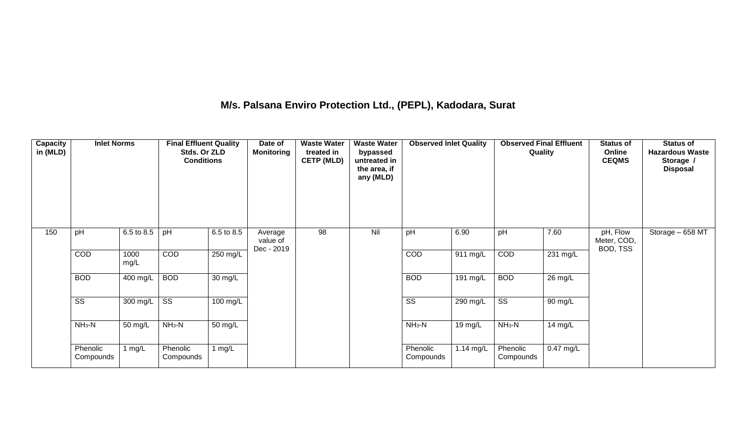## **M/s. Palsana Enviro Protection Ltd., (PEPL), Kadodara, Surat**

| Capacity<br>in (MLD) | <b>Inlet Norms</b>     |              | <b>Final Effluent Quality</b><br>Stds. Or ZLD<br><b>Conditions</b> |            | Date of<br><b>Monitoring</b>      | <b>Waste Water</b><br>treated in<br><b>CETP (MLD)</b> | <b>Waste Water</b><br>bypassed<br>untreated in<br>the area, if<br>any (MLD) | <b>Observed Inlet Quality</b> |                    | <b>Observed Final Effluent</b><br>Quality |                    | <b>Status of</b><br>Online<br><b>CEQMS</b> | <b>Status of</b><br><b>Hazardous Waste</b><br>Storage /<br><b>Disposal</b> |
|----------------------|------------------------|--------------|--------------------------------------------------------------------|------------|-----------------------------------|-------------------------------------------------------|-----------------------------------------------------------------------------|-------------------------------|--------------------|-------------------------------------------|--------------------|--------------------------------------------|----------------------------------------------------------------------------|
| 150                  | pH                     | 6.5 to 8.5   | pH                                                                 | 6.5 to 8.5 | Average<br>value of<br>Dec - 2019 | 98                                                    | Nil                                                                         | pH                            | 6.90               | pH                                        | 7.60               | pH, Flow<br>Meter, COD,<br>BOD, TSS        | Storage $-658$ MT                                                          |
|                      | COD                    | 1000<br>mg/L | COD                                                                | $250$ mg/L |                                   |                                                       |                                                                             | COD                           | $911 \text{ mg/L}$ | COD                                       | $231 \text{ mg/L}$ |                                            |                                                                            |
|                      | <b>BOD</b>             | 400 mg/L     | <b>BOD</b>                                                         | 30 mg/L    |                                   |                                                       |                                                                             | <b>BOD</b>                    | 191 mg/L           | <b>BOD</b>                                | 26 mg/L            |                                            |                                                                            |
|                      | $\overline{\text{ss}}$ | 300 mg/L     | $\overline{\text{ss}}$                                             | $100$ mg/L |                                   |                                                       |                                                                             | $\overline{\text{SS}}$        | 290 mg/L           | $\overline{\text{ss}}$                    | 90 mg/L            |                                            |                                                                            |
|                      | $NH3-N$                | 50 mg/L      | $NH_3-N$                                                           | 50 mg/L    |                                   |                                                       |                                                                             | $NH3-N$                       | 19 mg/L            | $NH_3-N$                                  | 14 mg/L            |                                            |                                                                            |
|                      | Phenolic<br>Compounds  | 1 $mg/L$     | Phenolic<br>Compounds                                              | 1 $mg/L$   |                                   |                                                       |                                                                             | Phenolic<br>Compounds         | 1.14 mg/L          | Phenolic<br>Compounds                     | 0.47 mg/L          |                                            |                                                                            |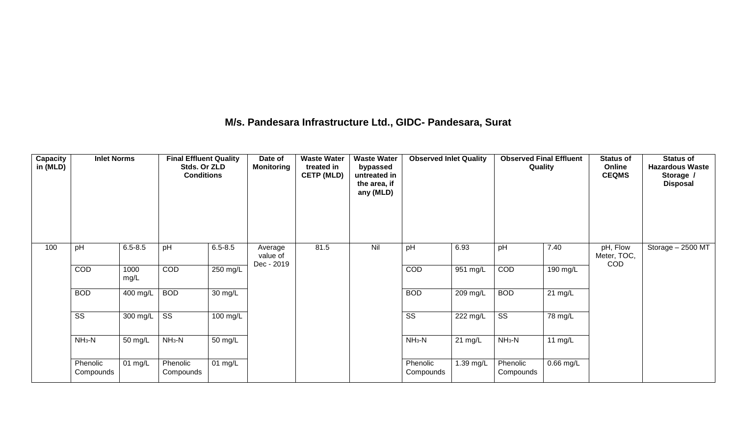### **M/s. Pandesara Infrastructure Ltd., GIDC- Pandesara, Surat**

| Capacity<br>in (MLD) | <b>Inlet Norms</b>     |              | <b>Final Effluent Quality</b><br>Stds. Or ZLD<br><b>Conditions</b> |                    | Date of<br><b>Monitoring</b>      | <b>Waste Water</b><br>treated in<br><b>CETP (MLD)</b> | <b>Waste Water</b><br>bypassed<br>untreated in<br>the area, if<br>any (MLD) | <b>Observed Inlet Quality</b> |                    | <b>Observed Final Effluent</b> | Quality           | <b>Status of</b><br>Online<br><b>CEQMS</b> | <b>Status of</b><br><b>Hazardous Waste</b><br>Storage /<br><b>Disposal</b> |
|----------------------|------------------------|--------------|--------------------------------------------------------------------|--------------------|-----------------------------------|-------------------------------------------------------|-----------------------------------------------------------------------------|-------------------------------|--------------------|--------------------------------|-------------------|--------------------------------------------|----------------------------------------------------------------------------|
| 100                  | pH                     | $6.5 - 8.5$  | pH                                                                 | $6.5 - 8.5$        | Average<br>value of<br>Dec - 2019 | 81.5                                                  | Nil                                                                         | pH                            | 6.93               | pH                             | 7.40              | pH, Flow<br>Meter, TOC,<br>COD             | Storage - 2500 MT                                                          |
|                      | COD                    | 1000<br>mg/L | COD                                                                | $250 \text{ mg/L}$ |                                   |                                                       |                                                                             | COD                           | $951 \text{ mg/L}$ | COD                            | 190 mg/L          |                                            |                                                                            |
|                      | <b>BOD</b>             | 400 mg/L     | <b>BOD</b>                                                         | 30 mg/L            |                                   |                                                       |                                                                             | <b>BOD</b>                    | 209 mg/L           | <b>BOD</b>                     | $21 \text{ mg/L}$ |                                            |                                                                            |
|                      | $\overline{\text{SS}}$ | 300 mg/L     | $\overline{\text{SS}}$                                             | $100 \text{ mg/L}$ |                                   |                                                       |                                                                             | $\overline{\text{SS}}$        | 222 mg/L           | $\overline{\text{ss}}$         | 78 mg/L           |                                            |                                                                            |
|                      | $NH3-N$                | 50 mg/L      | $NH3-N$                                                            | 50 mg/L            |                                   |                                                       |                                                                             | $NH3-N$                       | $21 \text{ mg/L}$  | $NH3-N$                        | 11 $mg/L$         |                                            |                                                                            |
|                      | Phenolic<br>Compounds  | 01 mg/L      | Phenolic<br>Compounds                                              | 01 mg/L            |                                   |                                                       |                                                                             | Phenolic<br>Compounds         | 1.39 mg/L          | Phenolic<br>Compounds          | $0.66$ mg/L       |                                            |                                                                            |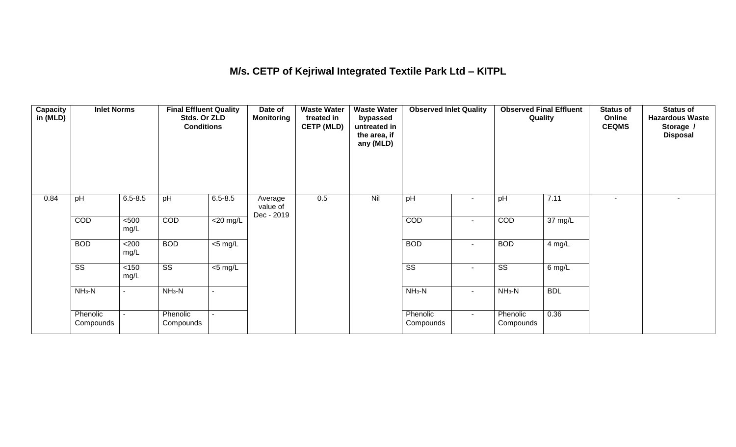## **M/s. CETP of Kejriwal Integrated Textile Park Ltd – KITPL**

| Capacity<br>in (MLD) | <b>Inlet Norms</b>     |                | <b>Final Effluent Quality</b><br>Stds. Or ZLD<br><b>Conditions</b> |                          | Date of<br>Monitoring             | <b>Waste Water</b><br>treated in<br><b>CETP (MLD)</b> | <b>Waste Water</b><br>bypassed<br>untreated in<br>the area, if<br>any (MLD) | <b>Observed Inlet Quality</b> |                          | <b>Observed Final Effluent</b><br>Quality |            | <b>Status of</b><br>Online<br><b>CEQMS</b> | <b>Status of</b><br><b>Hazardous Waste</b><br>Storage /<br><b>Disposal</b> |
|----------------------|------------------------|----------------|--------------------------------------------------------------------|--------------------------|-----------------------------------|-------------------------------------------------------|-----------------------------------------------------------------------------|-------------------------------|--------------------------|-------------------------------------------|------------|--------------------------------------------|----------------------------------------------------------------------------|
| 0.84                 | pH                     | $6.5 - 8.5$    | pH                                                                 | $6.5 - 8.5$              | Average<br>value of<br>Dec - 2019 | 0.5                                                   | Nil                                                                         | pH                            | -                        | pH                                        | 7.11       | $\sim$                                     |                                                                            |
|                      | COD                    | $500$<br>mg/L  | COD                                                                | $\overline{\leq}20$ mg/L |                                   |                                                       |                                                                             | COD                           | $\overline{\phantom{a}}$ | COD                                       | 37 mg/L    |                                            |                                                                            |
|                      | <b>BOD</b>             | <200<br>mg/L   | <b>BOD</b>                                                         | $<$ 5 mg/L               |                                   |                                                       |                                                                             | <b>BOD</b>                    | $\sim$                   | <b>BOD</b>                                | 4 mg/L     |                                            |                                                                            |
|                      | $\overline{\text{ss}}$ | < 150<br>mg/L  | $\overline{\text{ss}}$                                             | $<$ 5 mg/L               |                                   |                                                       |                                                                             | $\overline{\text{ss}}$        | $\sim$                   | $\overline{\text{ss}}$                    | 6 mg/L     |                                            |                                                                            |
|                      | $NH3-N$                | $\blacksquare$ | $NH3-N$                                                            | $\blacksquare$           |                                   |                                                       |                                                                             | $NH_3-N$                      | $\sim$                   | $NH3-N$                                   | <b>BDL</b> |                                            |                                                                            |
|                      | Phenolic<br>Compounds  |                | Phenolic<br>Compounds                                              | $\sim$                   |                                   |                                                       |                                                                             | Phenolic<br>Compounds         | $\sim$                   | Phenolic<br>Compounds                     | 0.36       |                                            |                                                                            |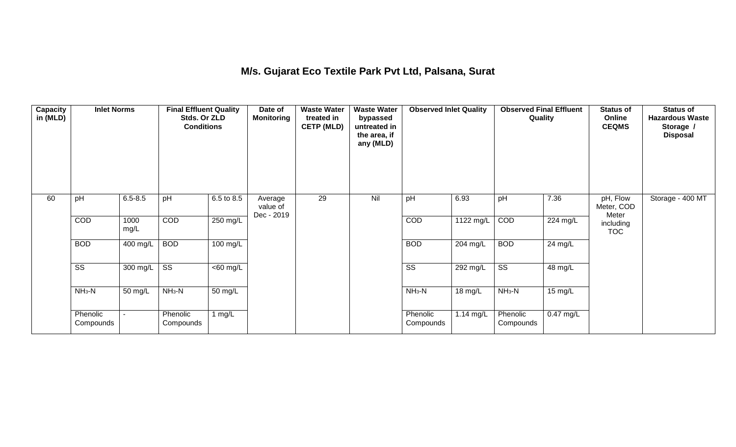### **M/s. Gujarat Eco Textile Park Pvt Ltd, Palsana, Surat**

| Capacity<br>in (MLD) | <b>Inlet Norms</b>     |                  | <b>Final Effluent Quality</b><br>Stds. Or ZLD<br><b>Conditions</b> |                              | Date of<br><b>Monitoring</b>      | <b>Waste Water</b><br>treated in<br><b>CETP (MLD)</b> | <b>Waste Water</b><br>bypassed<br>untreated in<br>the area, if<br>any (MLD) | <b>Observed Inlet Quality</b> |             | <b>Observed Final Effluent</b><br>Quality |             | <b>Status of</b><br>Online<br><b>CEQMS</b> | <b>Status of</b><br><b>Hazardous Waste</b><br>Storage /<br><b>Disposal</b> |
|----------------------|------------------------|------------------|--------------------------------------------------------------------|------------------------------|-----------------------------------|-------------------------------------------------------|-----------------------------------------------------------------------------|-------------------------------|-------------|-------------------------------------------|-------------|--------------------------------------------|----------------------------------------------------------------------------|
| 60                   | pH                     | $6.5 - 8.5$      | pH                                                                 | 6.5 to 8.5                   | Average<br>value of<br>Dec - 2019 | 29                                                    | Nil                                                                         | pH                            | 6.93        | pH                                        | 7.36        | pH, Flow<br>Meter, COD<br>Meter            | Storage - 400 MT                                                           |
|                      | COD                    | 1000<br>mg/L     | COD                                                                | 250 mg/L                     |                                   |                                                       |                                                                             | COD                           | 1122 mg/L   | COD                                       | 224 mg/L    | including<br><b>TOC</b>                    |                                                                            |
|                      | <b>BOD</b>             | 400 mg/L         | <b>BOD</b>                                                         | $100 \text{ mg/L}$           |                                   |                                                       |                                                                             | <b>BOD</b>                    | 204 mg/L    | <b>BOD</b>                                | 24 mg/L     |                                            |                                                                            |
|                      | $\overline{\text{ss}}$ | 300 mg/L $\vert$ | $\overline{\text{ss}}$                                             | $\overline{50 \text{ mg}}$ L |                                   |                                                       |                                                                             | $\overline{\text{ss}}$        | 292 mg/L    | $\overline{\text{ss}}$                    | 48 mg/L     |                                            |                                                                            |
|                      | $NH3-N$                | 50 mg/L          | $NH3-N$                                                            | 50 mg/L                      |                                   |                                                       |                                                                             | $NH3-N$                       | 18 mg/L     | $NH3-N$                                   | 15 mg/L     |                                            |                                                                            |
|                      | Phenolic<br>Compounds  |                  | Phenolic<br>Compounds                                              | 1 $mg/L$                     |                                   |                                                       |                                                                             | Phenolic<br>Compounds         | $1.14$ mg/L | Phenolic<br>Compounds                     | $0.47$ mg/L |                                            |                                                                            |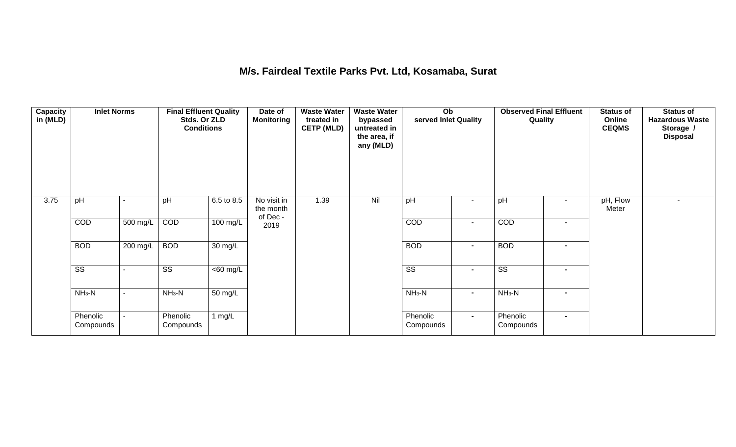### **M/s. Fairdeal Textile Parks Pvt. Ltd, Kosamaba, Surat**

| <b>Capacity</b><br>in (MLD) | <b>Inlet Norms</b>     |          | <b>Final Effluent Quality</b><br>Stds. Or ZLD<br><b>Conditions</b> |                      | Date of<br><b>Monitoring</b>        | <b>Waste Water</b><br>treated in<br><b>CETP (MLD)</b> | <b>Waste Water</b><br>bypassed<br>untreated in<br>the area, if<br>any (MLD) | Ob<br>served Inlet Quality |                          | <b>Observed Final Effluent</b><br>Quality |                          | <b>Status of</b><br>Online<br><b>CEQMS</b> | <b>Status of</b><br><b>Hazardous Waste</b><br>Storage /<br><b>Disposal</b> |
|-----------------------------|------------------------|----------|--------------------------------------------------------------------|----------------------|-------------------------------------|-------------------------------------------------------|-----------------------------------------------------------------------------|----------------------------|--------------------------|-------------------------------------------|--------------------------|--------------------------------------------|----------------------------------------------------------------------------|
| 3.75                        | pH                     |          | pH                                                                 | 6.5 to 8.5           | No visit in<br>the month<br>of Dec- | 1.39                                                  | Nil                                                                         | pH                         | $\overline{\phantom{a}}$ | pH                                        | $\overline{\phantom{a}}$ | pH, Flow<br>Meter                          |                                                                            |
|                             | COD                    | 500 mg/L | COD                                                                | 100 mg/L             | 2019                                |                                                       |                                                                             | COD                        | $\blacksquare$           | COD                                       | $\blacksquare$           |                                            |                                                                            |
|                             | <b>BOD</b>             | 200 mg/L | <b>BOD</b>                                                         | $\overline{30}$ mg/L |                                     |                                                       |                                                                             | <b>BOD</b>                 | $\blacksquare$           | <b>BOD</b>                                | $\blacksquare$           |                                            |                                                                            |
|                             | $\overline{\text{ss}}$ |          | $\overline{\text{ss}}$                                             | $\overline{60}$ mg/L |                                     |                                                       |                                                                             | $\overline{\text{ss}}$     | $\blacksquare$           | $\overline{\text{ss}}$                    | $\blacksquare$           |                                            |                                                                            |
|                             | $NH3-N$                | ۰        | $NH3-N$                                                            | $\overline{50}$ mg/L |                                     |                                                       |                                                                             | $NH3-N$                    | $\blacksquare$           | $NH3-N$                                   | $\blacksquare$           |                                            |                                                                            |
|                             | Phenolic<br>Compounds  |          | Phenolic<br>Compounds                                              | 1 $mg/L$             |                                     |                                                       |                                                                             | Phenolic<br>Compounds      | $\blacksquare$           | Phenolic<br>Compounds                     | $\blacksquare$           |                                            |                                                                            |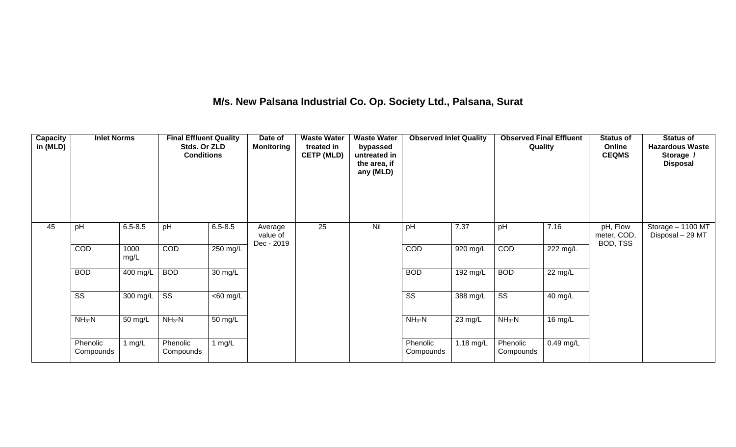## **M/s. New Palsana Industrial Co. Op. Society Ltd., Palsana, Surat**

| Capacity<br>in (MLD) | <b>Inlet Norms</b>     |                  | <b>Final Effluent Quality</b><br>Stds. Or ZLD<br><b>Conditions</b> |                      | Date of<br><b>Monitoring</b>      | <b>Waste Water</b><br>treated in<br><b>CETP (MLD)</b> | <b>Waste Water</b><br>bypassed<br>untreated in<br>the area, if<br>any (MLD) | <b>Observed Inlet Quality</b> |             |                        | <b>Observed Final Effluent</b><br>Quality | <b>Status of</b><br>Online<br><b>CEQMS</b> | <b>Status of</b><br><b>Hazardous Waste</b><br>Storage /<br><b>Disposal</b> |
|----------------------|------------------------|------------------|--------------------------------------------------------------------|----------------------|-----------------------------------|-------------------------------------------------------|-----------------------------------------------------------------------------|-------------------------------|-------------|------------------------|-------------------------------------------|--------------------------------------------|----------------------------------------------------------------------------|
| 45                   | pH                     | $6.5 - 8.5$      | pH                                                                 | $6.5 - 8.5$          | Average<br>value of<br>Dec - 2019 | 25                                                    | Nil                                                                         | pH                            | 7.37        | pH                     | 7.16                                      | pH, Flow<br>meter, COD,<br>BOD, TSS        | Storage $-1100$ MT<br>Disposal - 29 MT                                     |
|                      | COD                    | 1000<br>mg/L     | COD                                                                | 250 mg/L             |                                   |                                                       |                                                                             | <b>COD</b>                    | 920 mg/L    | COD                    | 222 mg/L                                  |                                            |                                                                            |
|                      | <b>BOD</b>             | 400 mg/L         | <b>BOD</b>                                                         | $30 \text{ mg/L}$    |                                   |                                                       |                                                                             | <b>BOD</b>                    | 192 mg/L    | <b>BOD</b>             | 22 mg/L                                   |                                            |                                                                            |
|                      | $\overline{\text{ss}}$ | 300 mg/L $\vert$ | $\overline{\text{ss}}$                                             | $<$ 60 mg/L          |                                   |                                                       |                                                                             | $\overline{\text{ss}}$        | 388 mg/L    | $\overline{\text{ss}}$ | 40 mg/L                                   |                                            |                                                                            |
|                      | $NH3-N$                | 50 mg/L          | $NH3-N$                                                            | $\overline{50}$ mg/L |                                   |                                                       |                                                                             | $NH3-N$                       | 23 mg/L     | $NH3-N$                | 16 mg/L                                   |                                            |                                                                            |
|                      | Phenolic<br>Compounds  | 1 mg/L           | Phenolic<br>Compounds                                              | 1 $mg/L$             |                                   |                                                       |                                                                             | Phenolic<br>Compounds         | $1.18$ mg/L | Phenolic<br>Compounds  | $0.49$ mg/L                               |                                            |                                                                            |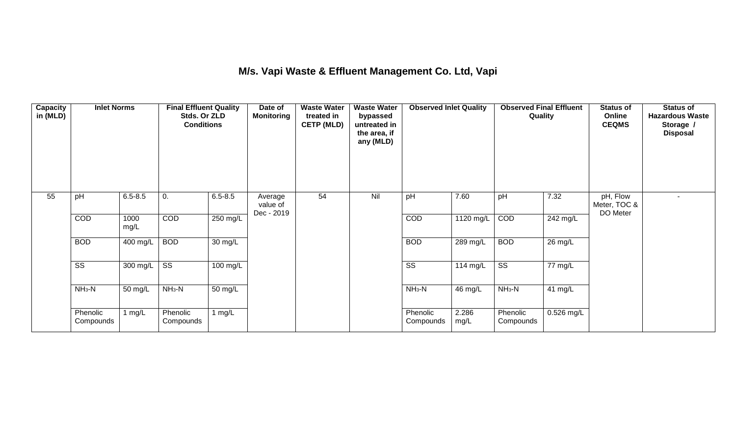## **M/s. Vapi Waste & Effluent Management Co. Ltd, Vapi**

| Capacity<br>in (MLD) | <b>Inlet Norms</b><br>$6.5 - 8.5$<br>pH |              | <b>Final Effluent Quality</b><br>Stds. Or ZLD<br><b>Conditions</b> |                      | Date of<br><b>Monitoring</b>      | <b>Waste Water</b><br>treated in<br><b>CETP (MLD)</b> | <b>Waste Water</b><br>bypassed<br>untreated in<br>the area, if<br>any (MLD) | <b>Observed Inlet Quality</b> |               | <b>Observed Final Effluent</b><br>Quality |            | <b>Status of</b><br>Online<br><b>CEQMS</b> | <b>Status of</b><br><b>Hazardous Waste</b><br>Storage /<br><b>Disposal</b> |
|----------------------|-----------------------------------------|--------------|--------------------------------------------------------------------|----------------------|-----------------------------------|-------------------------------------------------------|-----------------------------------------------------------------------------|-------------------------------|---------------|-------------------------------------------|------------|--------------------------------------------|----------------------------------------------------------------------------|
| 55                   |                                         |              | 0.                                                                 | $6.5 - 8.5$          | Average<br>value of<br>Dec - 2019 | 54                                                    | Nil                                                                         | pH                            | 7.60          | pH                                        | 7.32       | pH, Flow<br>Meter, TOC &<br>DO Meter       |                                                                            |
|                      | COD                                     | 1000<br>mg/L | <b>COD</b>                                                         | 250 mg/L             |                                   |                                                       |                                                                             | COD                           | 1120 mg/L     | COD                                       | 242 mg/L   |                                            |                                                                            |
|                      | <b>BOD</b>                              | 400 mg/L     | <b>BOD</b>                                                         | 30 mg/L              |                                   |                                                       |                                                                             | <b>BOD</b>                    | 289 mg/L      | <b>BOD</b>                                | 26 mg/L    |                                            |                                                                            |
|                      | $\overline{\text{SS}}$                  | 300 mg/L     | $\overline{\text{ss}}$                                             | $100 \text{ mg/L}$   |                                   |                                                       |                                                                             | $\overline{\text{SS}}$        | 114 mg/L      | $\overline{\text{ss}}$                    | 77 mg/L    |                                            |                                                                            |
|                      | $NH3-N$                                 | 50 mg/L      | $NH3-N$                                                            | $\overline{50}$ mg/L |                                   |                                                       |                                                                             | $NH3-N$                       | 46 mg/L       | $NH3-N$                                   | 41 mg/L    |                                            |                                                                            |
|                      | Phenolic<br>Compounds                   | l mg/L       | Phenolic<br>Compounds                                              | 1 $mg/L$             |                                   |                                                       |                                                                             | Phenolic<br>Compounds         | 2.286<br>mg/L | Phenolic<br>Compounds                     | 0.526 mg/L |                                            |                                                                            |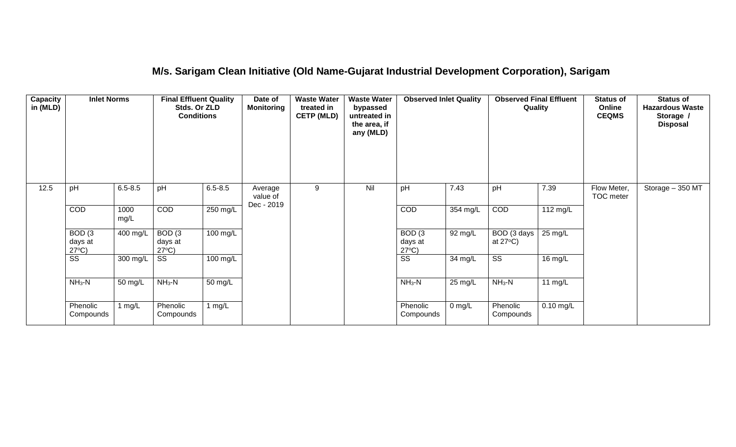## **M/s. Sarigam Clean Initiative (Old Name-Gujarat Industrial Development Corporation), Sarigam**

| <b>Capacity</b><br>in (MLD) | <b>Inlet Norms</b><br>$6.5 - 8.5$<br>pH         |              | <b>Final Effluent Quality</b><br>Stds. Or ZLD<br><b>Conditions</b> |                      | Date of<br><b>Monitoring</b>      | <b>Waste Water</b><br>treated in<br><b>CETP (MLD)</b> | <b>Waste Water</b><br>bypassed<br>untreated in<br>the area, if<br>any (MLD) | <b>Observed Inlet Quality</b>                   |                    | <b>Observed Final Effluent</b><br>Quality |             | <b>Status of</b><br>Online<br><b>CEQMS</b> | <b>Status of</b><br><b>Hazardous Waste</b><br>Storage /<br><b>Disposal</b> |
|-----------------------------|-------------------------------------------------|--------------|--------------------------------------------------------------------|----------------------|-----------------------------------|-------------------------------------------------------|-----------------------------------------------------------------------------|-------------------------------------------------|--------------------|-------------------------------------------|-------------|--------------------------------------------|----------------------------------------------------------------------------|
| 12.5                        |                                                 |              | pH                                                                 | $6.5 - 8.5$          | Average<br>value of<br>Dec - 2019 | 9                                                     | Nil                                                                         | pH                                              | 7.43               | pH                                        | 7.39        | Flow Meter,<br>TOC meter                   | Storage $-350$ MT                                                          |
|                             | COD                                             | 1000<br>mg/L | <b>COD</b>                                                         | 250 mg/L             |                                   |                                                       |                                                                             | <b>COD</b>                                      | 354 mg/L           | COD                                       | 112 mg/L    |                                            |                                                                            |
|                             | BOD <sub>(3</sub><br>days at<br>$27^{\circ}C$ ) | 400 mg/L     | BOD(3)<br>days at<br>$27^{\circ}C$ )                               | 100 mg/L             |                                   |                                                       |                                                                             | BOD <sub>(3</sub><br>days at<br>$27^{\circ}C$ ) | 92 mg/L            | BOD (3 days<br>at $27^{\circ}$ C)         | 25 mg/L     |                                            |                                                                            |
|                             | SS                                              | 300 mg/L     | SS                                                                 | 100 mg/L             |                                   |                                                       |                                                                             | $\overline{\text{SS}}$                          | 34 mg/L            | $\overline{\text{SS}}$                    | 16 mg/L     |                                            |                                                                            |
|                             | $NH3-N$                                         | 50 mg/L      | $NH3-N$                                                            | $\overline{50}$ mg/L |                                   |                                                       |                                                                             | $NH3-N$                                         | 25 mg/L            | $NH3-N$                                   | 11 $mg/L$   |                                            |                                                                            |
|                             | Phenolic<br>Compounds                           | 1 $mg/L$     | Phenolic<br>Compounds                                              | 1 mg/L               |                                   |                                                       |                                                                             | Phenolic<br>Compounds                           | $0 \, \text{mg/L}$ | Phenolic<br>Compounds                     | $0.10$ mg/L |                                            |                                                                            |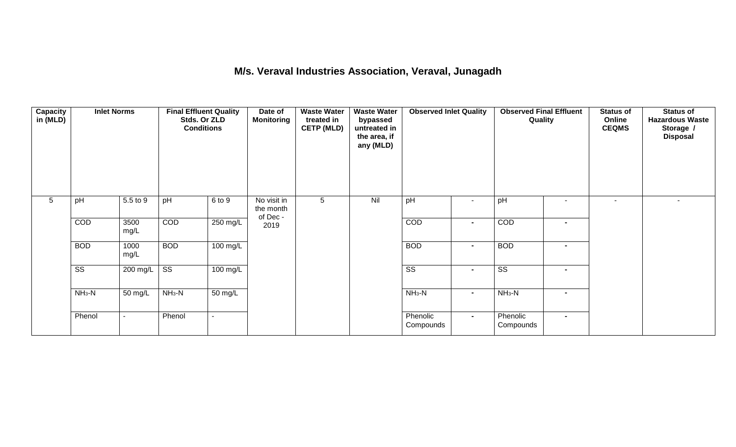### **M/s. Veraval Industries Association, Veraval, Junagadh**

| Capacity<br>in (MLD) | <b>Inlet Norms</b><br>5.5 to 9<br>pH |                          | <b>Final Effluent Quality</b><br>Stds. Or ZLD<br><b>Conditions</b> |                      | Date of<br><b>Monitoring</b>        | <b>Waste Water</b><br>treated in<br><b>CETP (MLD)</b> | <b>Waste Water</b><br>bypassed<br>untreated in<br>the area, if<br>any (MLD) | <b>Observed Inlet Quality</b> |                | <b>Observed Final Effluent</b><br>Quality |                          | <b>Status of</b><br>Online<br><b>CEQMS</b> | <b>Status of</b><br><b>Hazardous Waste</b><br>Storage /<br><b>Disposal</b> |
|----------------------|--------------------------------------|--------------------------|--------------------------------------------------------------------|----------------------|-------------------------------------|-------------------------------------------------------|-----------------------------------------------------------------------------|-------------------------------|----------------|-------------------------------------------|--------------------------|--------------------------------------------|----------------------------------------------------------------------------|
| 5                    |                                      |                          | pH                                                                 | 6 to 9               | No visit in<br>the month<br>of Dec- | 5                                                     | Nil                                                                         | pH                            | $\blacksquare$ | pH                                        | $\overline{\phantom{a}}$ | $\overline{\phantom{a}}$                   | $\sim$                                                                     |
|                      | COD                                  | 3500<br>mg/L             | COD                                                                | $250 \text{ mg/L}$   | 2019                                |                                                       |                                                                             | COD                           | $\blacksquare$ | COD                                       | $\blacksquare$           |                                            |                                                                            |
|                      | <b>BOD</b>                           | 1000<br>mg/L             | <b>BOD</b>                                                         | $100 \text{ mg/L}$   |                                     |                                                       |                                                                             | <b>BOD</b>                    | $\blacksquare$ | <b>BOD</b>                                | $\blacksquare$           |                                            |                                                                            |
|                      | $\overline{\text{ss}}$               | 200 mg/L                 | $\overline{\text{ss}}$                                             | 100 mg/L             |                                     |                                                       |                                                                             | $\overline{\text{ss}}$        | $\blacksquare$ | $\overline{\text{ss}}$                    | $\blacksquare$           |                                            |                                                                            |
|                      | $NH3-N$                              | 50 mg/L                  | $NH3-N$                                                            | $\overline{50}$ mg/L |                                     |                                                       |                                                                             | $NH_3-N$                      | $\sim$         | $NH3-N$                                   | $\blacksquare$           |                                            |                                                                            |
|                      | Phenol                               | $\overline{\phantom{a}}$ | Phenol                                                             |                      |                                     |                                                       |                                                                             | Phenolic<br>Compounds         | $\sim$         | Phenolic<br>Compounds                     | $\blacksquare$           |                                            |                                                                            |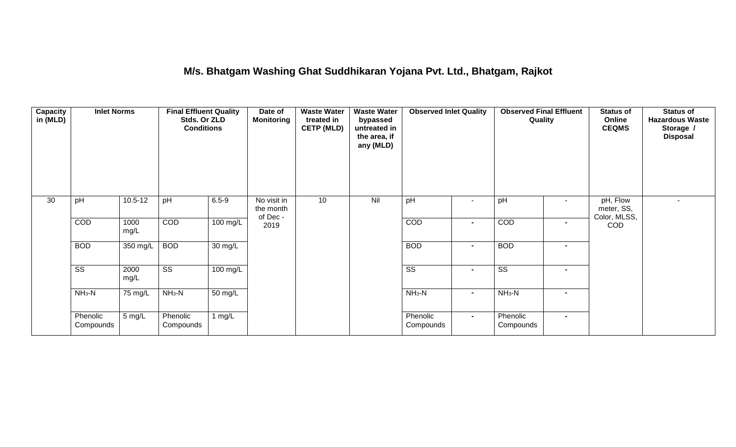### **M/s. Bhatgam Washing Ghat Suddhikaran Yojana Pvt. Ltd., Bhatgam, Rajkot**

| <b>Capacity</b><br>in (MLD) | <b>Inlet Norms</b>     |                   | <b>Final Effluent Quality</b><br>Stds. Or ZLD<br><b>Conditions</b> |                    | Date of<br><b>Monitoring</b>         | <b>Waste Water</b><br>treated in<br><b>CETP (MLD)</b> | <b>Waste Water</b><br>bypassed<br>untreated in<br>the area, if<br>any (MLD) | <b>Observed Inlet Quality</b> |                | <b>Observed Final Effluent</b><br>Quality |                | <b>Status of</b><br>Online<br><b>CEQMS</b> | <b>Status of</b><br><b>Hazardous Waste</b><br>Storage /<br><b>Disposal</b> |
|-----------------------------|------------------------|-------------------|--------------------------------------------------------------------|--------------------|--------------------------------------|-------------------------------------------------------|-----------------------------------------------------------------------------|-------------------------------|----------------|-------------------------------------------|----------------|--------------------------------------------|----------------------------------------------------------------------------|
| 30                          | pH                     | $10.5 - 12$       | pH                                                                 | $6.5 - 9$          | No visit in<br>the month<br>of Dec - | 10                                                    | Nil                                                                         | pH                            | $\blacksquare$ | pH                                        | $\sim$         | pH, Flow<br>meter, SS,<br>Color, MLSS,     | $\overline{\phantom{0}}$                                                   |
|                             | COD                    | 1000<br>mg/L      | COD                                                                | $100$ mg/L         | 2019                                 |                                                       |                                                                             | COD                           | $\blacksquare$ | COD                                       | $\blacksquare$ | <b>COD</b>                                 |                                                                            |
|                             | <b>BOD</b>             | 350 mg/L          | <b>BOD</b>                                                         | 30 mg/L            |                                      |                                                       |                                                                             | <b>BOD</b>                    | $\blacksquare$ | <b>BOD</b>                                | $\blacksquare$ |                                            |                                                                            |
|                             | $\overline{\text{ss}}$ | 2000<br>mg/L      | $\overline{\text{ss}}$                                             | $100 \text{ mg/L}$ |                                      |                                                       |                                                                             | $\overline{\text{ss}}$        | $\blacksquare$ | $\overline{\text{ss}}$                    | $\blacksquare$ |                                            |                                                                            |
|                             | $NH3-N$                | $75 \text{ mg/L}$ | $NH3-N$                                                            | 50 mg/L            |                                      |                                                       |                                                                             | $NH3-N$                       | $\blacksquare$ | $NH3-N$                                   | $\blacksquare$ |                                            |                                                                            |
|                             | Phenolic<br>Compounds  | 5 mg/L            | Phenolic<br>Compounds                                              | 1 $mg/L$           |                                      |                                                       |                                                                             | Phenolic<br>Compounds         | $\sim$         | Phenolic<br>Compounds                     | $\blacksquare$ |                                            |                                                                            |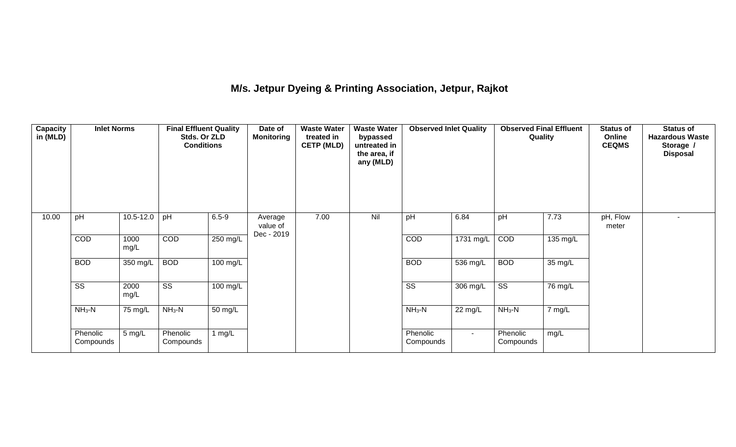# **M/s. Jetpur Dyeing & Printing Association, Jetpur, Rajkot**

| Capacity<br>in (MLD) | <b>Inlet Norms</b>     |               | <b>Final Effluent Quality</b><br>Stds. Or ZLD<br><b>Conditions</b> |            | Date of<br><b>Monitoring</b>      | <b>Waste Water</b><br>treated in<br><b>CETP (MLD)</b> | <b>Waste Water</b><br>bypassed<br>untreated in<br>the area, if<br>any (MLD) | <b>Observed Inlet Quality</b> |            | <b>Observed Final Effluent</b><br>Quality |          | <b>Status of</b><br>Online<br><b>CEQMS</b> | <b>Status of</b><br><b>Hazardous Waste</b><br>Storage /<br><b>Disposal</b> |
|----------------------|------------------------|---------------|--------------------------------------------------------------------|------------|-----------------------------------|-------------------------------------------------------|-----------------------------------------------------------------------------|-------------------------------|------------|-------------------------------------------|----------|--------------------------------------------|----------------------------------------------------------------------------|
| 10.00                | pH                     | $10.5 - 12.0$ | pH                                                                 | $6.5 - 9$  | Average<br>value of<br>Dec - 2019 | 7.00                                                  | Nil                                                                         | pH                            | 6.84       | pH                                        | 7.73     | pH, Flow<br>meter                          |                                                                            |
|                      | COD                    | 1000<br>mg/L  | COD                                                                | 250 mg/L   |                                   |                                                       |                                                                             | COD                           | 1731 mg/L  | COD                                       | 135 mg/L |                                            |                                                                            |
|                      | <b>BOD</b>             | 350 mg/L      | <b>BOD</b>                                                         | $100$ mg/L |                                   |                                                       |                                                                             | <b>BOD</b>                    | $536$ mg/L | <b>BOD</b>                                | 35 mg/L  |                                            |                                                                            |
|                      | $\overline{\text{ss}}$ | 2000<br>mg/L  | $\overline{\text{ss}}$                                             | 100 mg/L   |                                   |                                                       |                                                                             | $\overline{\text{ss}}$        | 306 mg/L   | $\overline{\text{ss}}$                    | 76 mg/L  |                                            |                                                                            |
|                      | $NH3-N$                | 75 mg/L       | $NH3-N$                                                            | 50 mg/L    |                                   |                                                       |                                                                             | $NH3-N$                       | 22 mg/L    | $NH_3-N$                                  | 7 mg/L   |                                            |                                                                            |
|                      | Phenolic<br>Compounds  | 5 mg/L        | Phenolic<br>Compounds                                              | 1 $mg/L$   |                                   |                                                       |                                                                             | Phenolic<br>Compounds         | $\sim$     | Phenolic<br>Compounds                     | mg/L     |                                            |                                                                            |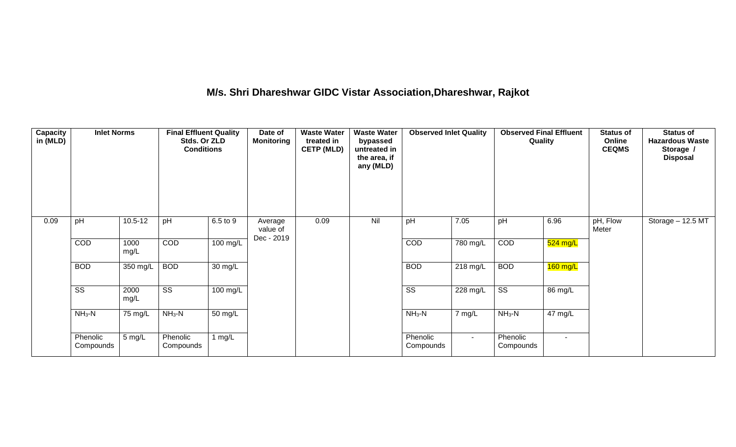# **M/s. Shri Dhareshwar GIDC Vistar Association,Dhareshwar, Rajkot**

| Capacity<br>in (MLD) | <b>Inlet Norms</b>     |              | <b>Final Effluent Quality</b><br>Stds. Or ZLD<br><b>Conditions</b> |                      | <b>Waste Water</b><br><b>Waste Water</b><br>Date of<br><b>Monitoring</b><br>treated in<br>bypassed<br><b>CETP (MLD)</b><br>untreated in<br>the area, if<br>any (MLD) |      | <b>Observed Inlet Quality</b> |                        | Quality  |                        | <b>Status of</b><br>Online<br><b>CEQMS</b> | <b>Status of</b><br><b>Hazardous Waste</b><br>Storage /<br><b>Disposal</b> |                   |
|----------------------|------------------------|--------------|--------------------------------------------------------------------|----------------------|----------------------------------------------------------------------------------------------------------------------------------------------------------------------|------|-------------------------------|------------------------|----------|------------------------|--------------------------------------------|----------------------------------------------------------------------------|-------------------|
| 0.09                 | pH                     | $10.5 - 12$  | pH                                                                 | 6.5 to 9             | Average<br>value of<br>Dec - 2019                                                                                                                                    | 0.09 | Nil                           | pH                     | 7.05     | pH                     | 6.96                                       | pH, Flow<br>Meter                                                          | Storage - 12.5 MT |
|                      | COD                    | 1000<br>mg/L | COD                                                                | 100 mg/L             |                                                                                                                                                                      |      |                               | <b>COD</b>             | 780 mg/L | COD                    | 524 mg/L                                   |                                                                            |                   |
|                      | <b>BOD</b>             | 350 mg/L     | <b>BOD</b>                                                         | $\overline{30}$ mg/L |                                                                                                                                                                      |      |                               | <b>BOD</b>             | 218 mg/L | <b>BOD</b>             | $160$ mg/L                                 |                                                                            |                   |
|                      | $\overline{\text{ss}}$ | 2000<br>mg/L | $\overline{\text{ss}}$                                             | $100 \text{ mg/L}$   |                                                                                                                                                                      |      |                               | $\overline{\text{ss}}$ | 228 mg/L | $\overline{\text{SS}}$ | 86 mg/L                                    |                                                                            |                   |
|                      | $NH3-N$<br>75 mg/L     |              | $NH3-N$                                                            | $\overline{50}$ mg/L |                                                                                                                                                                      |      |                               | $NH_3-N$               | 7 mg/L   | $NH3-N$                | $\overline{47}$ mg/L                       |                                                                            |                   |
|                      | Phenolic<br>Compounds  | 5 mg/L       | Phenolic<br>Compounds                                              | 1 $mg/L$             |                                                                                                                                                                      |      |                               | Phenolic<br>Compounds  | $\sim$   | Phenolic<br>Compounds  | $\sim$                                     |                                                                            |                   |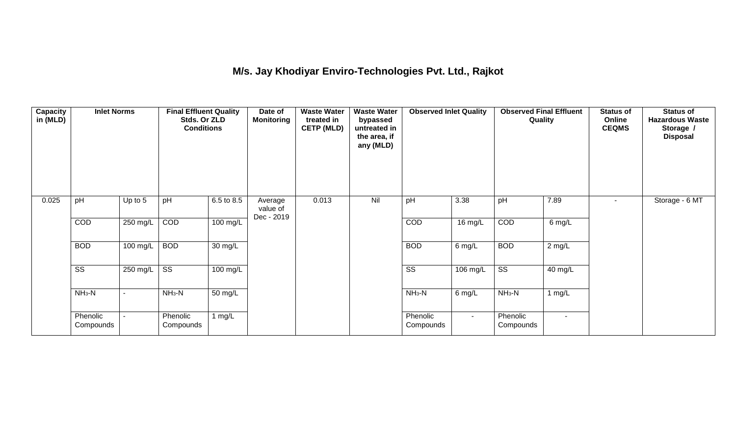## **M/s. Jay Khodiyar Enviro-Technologies Pvt. Ltd., Rajkot**

| <b>Capacity</b><br>in (MLD) | <b>Inlet Norms</b><br>pH<br>Up to 5 |          | <b>Final Effluent Quality</b><br>Stds. Or ZLD<br><b>Conditions</b> |                    | Date of<br><b>Monitoring</b>      | <b>Waste Water</b><br>treated in<br><b>CETP (MLD)</b> | <b>Waste Water</b><br>bypassed<br>untreated in<br>the area, if<br>any (MLD) | <b>Observed Inlet Quality</b> |          | <b>Observed Final Effluent</b><br>Quality |          | <b>Status of</b><br>Online<br><b>CEQMS</b> | <b>Status of</b><br><b>Hazardous Waste</b><br>Storage /<br><b>Disposal</b> |
|-----------------------------|-------------------------------------|----------|--------------------------------------------------------------------|--------------------|-----------------------------------|-------------------------------------------------------|-----------------------------------------------------------------------------|-------------------------------|----------|-------------------------------------------|----------|--------------------------------------------|----------------------------------------------------------------------------|
| 0.025                       |                                     |          | pH                                                                 | 6.5 to 8.5         | Average<br>value of<br>Dec - 2019 | 0.013                                                 | Nil                                                                         | pH                            | 3.38     | pH                                        | 7.89     | ۰.                                         | Storage - 6 MT                                                             |
|                             | COD                                 | 250 mg/L | COD                                                                | $100$ mg/L         |                                   |                                                       |                                                                             | COD                           | 16 mg/L  | COD                                       | 6 mg/L   |                                            |                                                                            |
|                             | <b>BOD</b>                          | 100 mg/L | <b>BOD</b>                                                         | 30 mg/L            |                                   |                                                       |                                                                             | <b>BOD</b>                    | $6$ mg/L | <b>BOD</b>                                | $2$ mg/L |                                            |                                                                            |
|                             | $\overline{\text{ss}}$              | 250 mg/L | $\overline{\text{ss}}$                                             | $100 \text{ mg/L}$ |                                   |                                                       |                                                                             | $\overline{\text{ss}}$        | 106 mg/L | $\overline{\text{ss}}$                    | 40 mg/L  |                                            |                                                                            |
|                             | $NH3-N$                             |          | $NH3-N$                                                            | 50 mg/L            |                                   |                                                       |                                                                             | $NH3-N$                       | $6$ mg/L | $NH3-N$                                   | 1 mg/L   |                                            |                                                                            |
|                             | Phenolic<br>Compounds               |          | Phenolic<br>Compounds                                              | 1 $mg/L$           |                                   |                                                       |                                                                             | Phenolic<br>Compounds         | $\sim$   | Phenolic<br>Compounds                     | $\sim$   |                                            |                                                                            |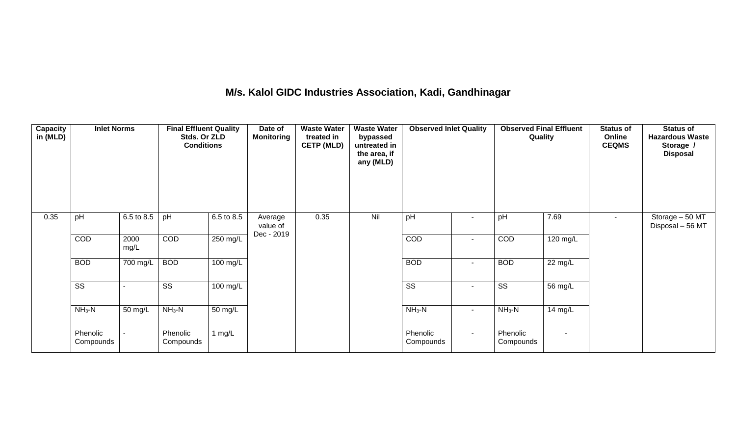### **M/s. Kalol GIDC Industries Association, Kadi, Gandhinagar**

| Capacity<br>in (MLD) | 6.5 to 8.5<br>pH       |              | <b>Final Effluent Quality</b><br>Stds. Or ZLD<br><b>Conditions</b> |                    | Date of<br><b>Monitoring</b>      | <b>Waste Water</b><br>treated in<br><b>CETP (MLD)</b> | <b>Waste Water</b><br>bypassed<br>untreated in<br>the area, if<br>any (MLD) | <b>Observed Inlet Quality</b> |                          | <b>Observed Final Effluent</b><br>Quality |                   | <b>Status of</b><br>Online<br><b>CEQMS</b> | <b>Status of</b><br><b>Hazardous Waste</b><br>Storage /<br><b>Disposal</b> |
|----------------------|------------------------|--------------|--------------------------------------------------------------------|--------------------|-----------------------------------|-------------------------------------------------------|-----------------------------------------------------------------------------|-------------------------------|--------------------------|-------------------------------------------|-------------------|--------------------------------------------|----------------------------------------------------------------------------|
| 0.35                 |                        |              | pH                                                                 | 6.5 to 8.5         | Average<br>value of<br>Dec - 2019 | 0.35                                                  | Nil                                                                         | pH                            |                          | pH                                        | 7.69              |                                            | Storage - 50 MT<br>Disposal - 56 MT                                        |
|                      | COD                    | 2000<br>mg/L | COD                                                                | $250$ mg/L         |                                   |                                                       |                                                                             | COD                           | $\overline{\phantom{a}}$ | COD                                       | 120 mg/L          |                                            |                                                                            |
|                      | <b>BOD</b>             | 700 mg/L     | <b>BOD</b>                                                         | $100 \text{ mg/L}$ |                                   |                                                       |                                                                             | <b>BOD</b>                    | $\overline{\phantom{a}}$ | <b>BOD</b>                                | $22 \text{ mg/L}$ |                                            |                                                                            |
|                      | $\overline{\text{ss}}$ |              | $\overline{\text{ss}}$                                             | $100 \text{ mg/L}$ |                                   |                                                       |                                                                             | $\overline{\text{ss}}$        | $\overline{\phantom{a}}$ | $\overline{\text{ss}}$                    | 56 mg/L           |                                            |                                                                            |
|                      | $NH3-N$                | 50 mg/L      | $NH3-N$                                                            | 50 mg/L            |                                   |                                                       |                                                                             | $NH3-N$                       | $\sim$                   | $NH_3-N$<br>14 mg/L                       |                   |                                            |                                                                            |
|                      | Phenolic<br>Compounds  |              | Phenolic<br>Compounds                                              | 1 $mg/L$           |                                   |                                                       |                                                                             | Phenolic<br>Compounds         | $\sim$                   | Phenolic<br>Compounds                     | $\sim$            |                                            |                                                                            |